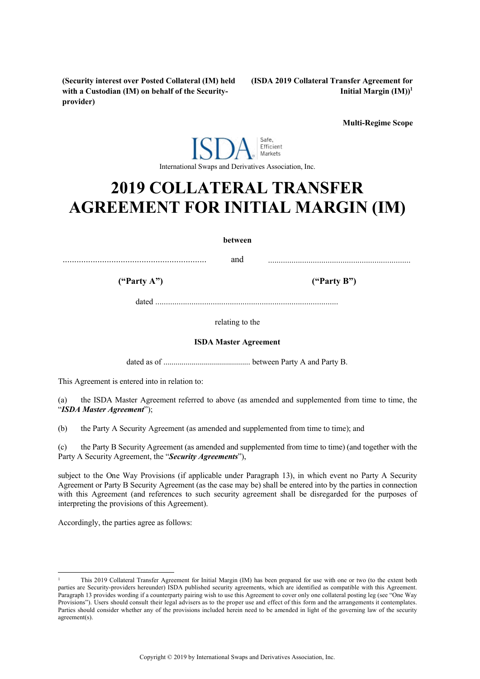**(Security interest over Posted Collateral (IM) held with a Custodian (IM) on behalf of the Securityprovider)**

**(ISDA 2019 Collateral Transfer Agreement for Initial Margin (IM)) 1**

**Multi-Regime Scope**

#### Safe, Efficient Markets International Swaps and Derivatives Association, Inc.

# **2019 COLLATERAL TRANSFER AGREEMENT FOR INITIAL MARGIN (IM)**

**between**

.............................................................. and ...................................................................

**("Party A") ("Party B")**

dated ......................................................................................

relating to the

#### **ISDA Master Agreement**

dated as of ........................................... between Party A and Party B.

This Agreement is entered into in relation to:

(a) the ISDA Master Agreement referred to above (as amended and supplemented from time to time, the "*ISDA Master Agreement*");

(b) the Party A Security Agreement (as amended and supplemented from time to time); and

(c) the Party B Security Agreement (as amended and supplemented from time to time) (and together with the Party A Security Agreement, the "*Security Agreements*"),

subject to the One Way Provisions (if applicable under Paragraph 13), in which event no Party A Security Agreement or Party B Security Agreement (as the case may be) shall be entered into by the parties in connection with this Agreement (and references to such security agreement shall be disregarded for the purposes of interpreting the provisions of this Agreement).

Accordingly, the parties agree as follows:

-

<sup>1</sup> This 2019 Collateral Transfer Agreement for Initial Margin (IM) has been prepared for use with one or two (to the extent both parties are Security-providers hereunder) ISDA published security agreements, which are identified as compatible with this Agreement. Paragraph 13 provides wording if a counterparty pairing wish to use this Agreement to cover only one collateral posting leg (see "One Way Provisions"). Users should consult their legal advisers as to the proper use and effect of this form and the arrangements it contemplates. Parties should consider whether any of the provisions included herein need to be amended in light of the governing law of the security agreement(s).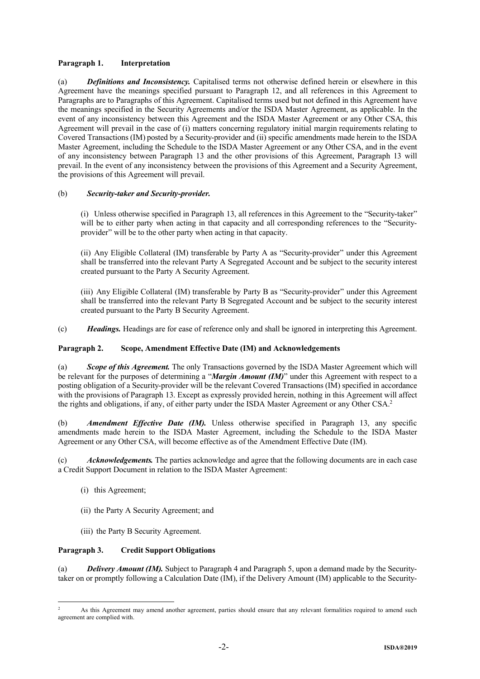# **Paragraph 1. Interpretation**

(a) *Definitions and Inconsistency.* Capitalised terms not otherwise defined herein or elsewhere in this Agreement have the meanings specified pursuant to Paragraph 12, and all references in this Agreement to Paragraphs are to Paragraphs of this Agreement. Capitalised terms used but not defined in this Agreement have the meanings specified in the Security Agreements and/or the ISDA Master Agreement, as applicable. In the event of any inconsistency between this Agreement and the ISDA Master Agreement or any Other CSA, this Agreement will prevail in the case of (i) matters concerning regulatory initial margin requirements relating to Covered Transactions (IM) posted by a Security-provider and (ii) specific amendments made herein to the ISDA Master Agreement, including the Schedule to the ISDA Master Agreement or any Other CSA, and in the event of any inconsistency between Paragraph 13 and the other provisions of this Agreement, Paragraph 13 will prevail. In the event of any inconsistency between the provisions of this Agreement and a Security Agreement, the provisions of this Agreement will prevail.

# (b) *Security-taker and Security-provider.*

(i) Unless otherwise specified in Paragraph 13, all references in this Agreement to the "Security-taker" will be to either party when acting in that capacity and all corresponding references to the "Securityprovider" will be to the other party when acting in that capacity.

(ii) Any Eligible Collateral (IM) transferable by Party A as "Security-provider" under this Agreement shall be transferred into the relevant Party A Segregated Account and be subject to the security interest created pursuant to the Party A Security Agreement.

(iii) Any Eligible Collateral (IM) transferable by Party B as "Security-provider" under this Agreement shall be transferred into the relevant Party B Segregated Account and be subject to the security interest created pursuant to the Party B Security Agreement.

(c) *Headings.* Headings are for ease of reference only and shall be ignored in interpreting this Agreement.

# **Paragraph 2. Scope, Amendment Effective Date (IM) and Acknowledgements**

(a) *Scope of this Agreement.* The only Transactions governed by the ISDA Master Agreement which will be relevant for the purposes of determining a "*Margin Amount (IM)*" under this Agreement with respect to a posting obligation of a Security-provider will be the relevant Covered Transactions (IM) specified in accordance with the provisions of Paragraph 13. Except as expressly provided herein, nothing in this Agreement will affect the rights and obligations, if any, of either party under the ISDA Master Agreement or any Other CSA.<sup>2</sup>

(b) *Amendment Effective Date (IM).* Unless otherwise specified in Paragraph 13, any specific amendments made herein to the ISDA Master Agreement, including the Schedule to the ISDA Master Agreement or any Other CSA, will become effective as of the Amendment Effective Date (IM).

(c) *Acknowledgements.* The parties acknowledge and agree that the following documents are in each case a Credit Support Document in relation to the ISDA Master Agreement:

- (i) this Agreement;
- (ii) the Party A Security Agreement; and
- (iii) the Party B Security Agreement.

## **Paragraph 3. Credit Support Obligations**

(a) *Delivery Amount (IM).* Subject to Paragraph 4 and Paragraph 5, upon a demand made by the Securitytaker on or promptly following a Calculation Date (IM), if the Delivery Amount (IM) applicable to the Security-

<sup>1</sup> <sup>2</sup> As this Agreement may amend another agreement, parties should ensure that any relevant formalities required to amend such agreement are complied with.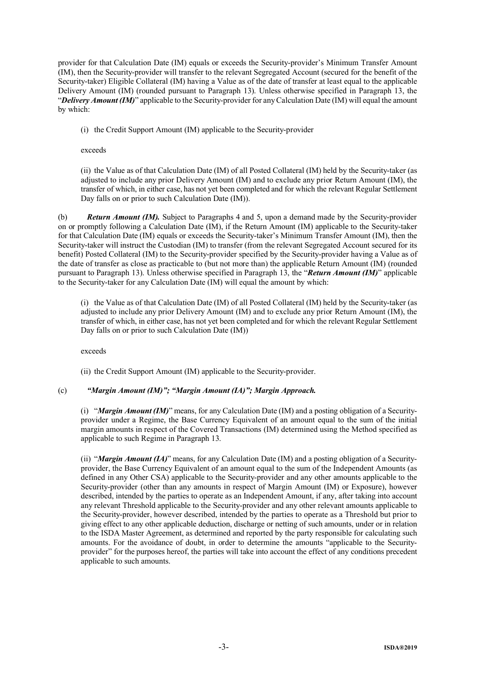provider for that Calculation Date (IM) equals or exceeds the Security-provider's Minimum Transfer Amount (IM), then the Security-provider will transfer to the relevant Segregated Account (secured for the benefit of the Security-taker) Eligible Collateral (IM) having a Value as of the date of transfer at least equal to the applicable Delivery Amount (IM) (rounded pursuant to Paragraph 13). Unless otherwise specified in Paragraph 13, the "*Delivery Amount (IM)*" applicable to the Security-provider for anyCalculation Date (IM) will equal the amount by which:

(i) the Credit Support Amount (IM) applicable to the Security-provider

exceeds

(ii) the Value as of that Calculation Date (IM) of all Posted Collateral (IM) held by the Security-taker (as adjusted to include any prior Delivery Amount (IM) and to exclude any prior Return Amount (IM), the transfer of which, in either case, has not yet been completed and for which the relevant Regular Settlement Day falls on or prior to such Calculation Date (IM)).

(b) *Return Amount (IM).* Subject to Paragraphs 4 and 5, upon a demand made by the Security-provider on or promptly following a Calculation Date (IM), if the Return Amount (IM) applicable to the Security-taker for that Calculation Date (IM) equals or exceeds the Security-taker's Minimum Transfer Amount (IM), then the Security-taker will instruct the Custodian (IM) to transfer (from the relevant Segregated Account secured for its benefit) Posted Collateral (IM) to the Security-provider specified by the Security-provider having a Value as of the date of transfer as close as practicable to (but not more than) the applicable Return Amount (IM) (rounded pursuant to Paragraph 13). Unless otherwise specified in Paragraph 13, the "*Return Amount (IM)*" applicable to the Security-taker for any Calculation Date (IM) will equal the amount by which:

(i) the Value as of that Calculation Date (IM) of all Posted Collateral (IM) held by the Security-taker (as adjusted to include any prior Delivery Amount (IM) and to exclude any prior Return Amount (IM), the transfer of which, in either case, has not yet been completed and for which the relevant Regular Settlement Day falls on or prior to such Calculation Date (IM))

exceeds

(ii) the Credit Support Amount (IM) applicable to the Security-provider.

# (c) *"Margin Amount (IM)"; "Margin Amount (IA)"; Margin Approach.*

(i) "*Margin Amount (IM)*" means, for any Calculation Date (IM) and a posting obligation of a Securityprovider under a Regime, the Base Currency Equivalent of an amount equal to the sum of the initial margin amounts in respect of the Covered Transactions (IM) determined using the Method specified as applicable to such Regime in Paragraph 13.

(ii) "*Margin Amount (IA)*" means, for any Calculation Date (IM) and a posting obligation of a Securityprovider, the Base Currency Equivalent of an amount equal to the sum of the Independent Amounts (as defined in any Other CSA) applicable to the Security-provider and any other amounts applicable to the Security-provider (other than any amounts in respect of Margin Amount (IM) or Exposure), however described, intended by the parties to operate as an Independent Amount, if any, after taking into account any relevant Threshold applicable to the Security-provider and any other relevant amounts applicable to the Security-provider, however described, intended by the parties to operate as a Threshold but prior to giving effect to any other applicable deduction, discharge or netting of such amounts, under or in relation to the ISDA Master Agreement, as determined and reported by the party responsible for calculating such amounts. For the avoidance of doubt, in order to determine the amounts "applicable to the Securityprovider" for the purposes hereof, the parties will take into account the effect of any conditions precedent applicable to such amounts.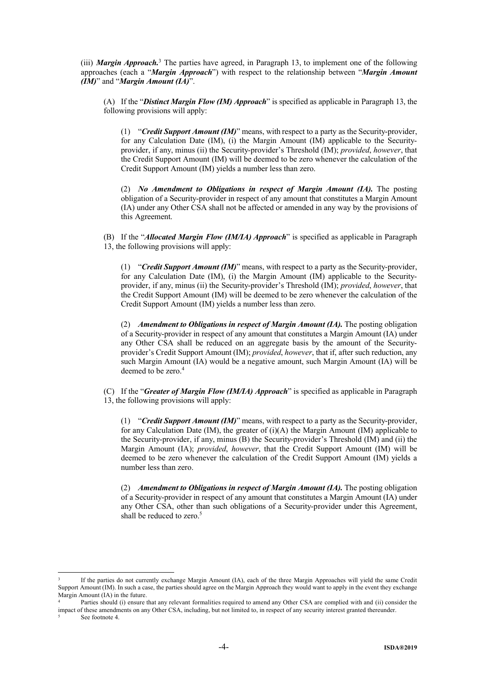(iii) *Margin Approach.*<sup>3</sup> The parties have agreed, in Paragraph 13, to implement one of the following approaches (each a "*Margin Approach*") with respect to the relationship between "*Margin Amount (IM)*" and "*Margin Amount (IA)*".

(A) If the "*Distinct Margin Flow (IM) Approach*" is specified as applicable in Paragraph 13, the following provisions will apply:

(1) "*Credit Support Amount (IM)*" means, with respect to a party as the Security-provider, for any Calculation Date (IM), (i) the Margin Amount (IM) applicable to the Securityprovider, if any, minus (ii) the Security-provider's Threshold (IM); *provided*, *however*, that the Credit Support Amount (IM) will be deemed to be zero whenever the calculation of the Credit Support Amount (IM) yields a number less than zero.

(2) *No Amendment to Obligations in respect of Margin Amount (IA).* The posting obligation of a Security-provider in respect of any amount that constitutes a Margin Amount (IA) under any Other CSA shall not be affected or amended in any way by the provisions of this Agreement.

(B) If the "*Allocated Margin Flow (IM/IA) Approach*" is specified as applicable in Paragraph 13, the following provisions will apply:

(1) "*Credit Support Amount (IM)*" means, with respect to a party as the Security-provider, for any Calculation Date (IM), (i) the Margin Amount (IM) applicable to the Securityprovider, if any, minus (ii) the Security-provider's Threshold (IM); *provided*, *however*, that the Credit Support Amount (IM) will be deemed to be zero whenever the calculation of the Credit Support Amount (IM) yields a number less than zero.

(2) *Amendment to Obligations in respect of Margin Amount (IA).* The posting obligation of a Security-provider in respect of any amount that constitutes a Margin Amount (IA) under any Other CSA shall be reduced on an aggregate basis by the amount of the Securityprovider's Credit Support Amount (IM); *provided*, *however*, that if, after such reduction, any such Margin Amount (IA) would be a negative amount, such Margin Amount (IA) will be deemed to be zero.<sup>4</sup>

(C) If the "*Greater of Margin Flow (IM/IA) Approach*" is specified as applicable in Paragraph 13, the following provisions will apply:

(1) "*Credit Support Amount (IM)*" means, with respect to a party as the Security-provider, for any Calculation Date (IM), the greater of  $(i)(A)$  the Margin Amount (IM) applicable to the Security-provider, if any, minus (B) the Security-provider's Threshold (IM) and (ii) the Margin Amount (IA); *provided*, *however*, that the Credit Support Amount (IM) will be deemed to be zero whenever the calculation of the Credit Support Amount (IM) yields a number less than zero.

(2) *Amendment to Obligations in respect of Margin Amount (IA).* The posting obligation of a Security-provider in respect of any amount that constitutes a Margin Amount (IA) under any Other CSA, other than such obligations of a Security-provider under this Agreement, shall be reduced to zero.<sup>5</sup>

-

<sup>3</sup> If the parties do not currently exchange Margin Amount (IA), each of the three Margin Approaches will yield the same Credit Support Amount (IM). In such a case, the parties should agree on the Margin Approach they would want to apply in the event they exchange Margin Amount (IA) in the future.

Parties should (i) ensure that any relevant formalities required to amend any Other CSA are complied with and (ii) consider the impact of these amendments on any Other CSA, including, but not limited to, in respect of any security interest granted thereunder.

See footnote 4.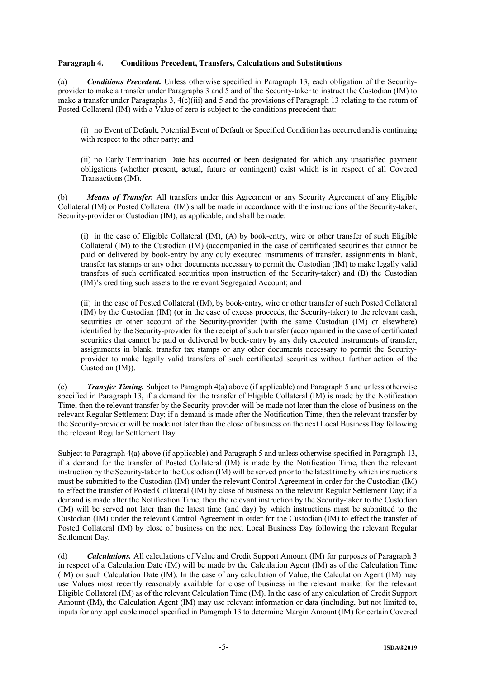## **Paragraph 4. Conditions Precedent, Transfers, Calculations and Substitutions**

(a) *Conditions Precedent.* Unless otherwise specified in Paragraph 13, each obligation of the Securityprovider to make a transfer under Paragraphs 3 and 5 and of the Security-taker to instruct the Custodian (IM) to make a transfer under Paragraphs 3, 4(e)(iii) and 5 and the provisions of Paragraph 13 relating to the return of Posted Collateral (IM) with a Value of zero is subject to the conditions precedent that:

(i) no Event of Default, Potential Event of Default or Specified Condition has occurred and is continuing with respect to the other party; and

(ii) no Early Termination Date has occurred or been designated for which any unsatisfied payment obligations (whether present, actual, future or contingent) exist which is in respect of all Covered Transactions (IM).

(b) *Means of Transfer.* All transfers under this Agreement or any Security Agreement of any Eligible Collateral (IM) or Posted Collateral (IM) shall be made in accordance with the instructions of the Security-taker, Security-provider or Custodian (IM), as applicable, and shall be made:

(i) in the case of Eligible Collateral (IM), (A) by book-entry, wire or other transfer of such Eligible Collateral (IM) to the Custodian (IM) (accompanied in the case of certificated securities that cannot be paid or delivered by book-entry by any duly executed instruments of transfer, assignments in blank, transfer tax stamps or any other documents necessary to permit the Custodian (IM) to make legally valid transfers of such certificated securities upon instruction of the Security-taker) and (B) the Custodian (IM)'s crediting such assets to the relevant Segregated Account; and

(ii) in the case of Posted Collateral (IM), by book-entry, wire or other transfer of such Posted Collateral (IM) by the Custodian (IM) (or in the case of excess proceeds, the Security-taker) to the relevant cash, securities or other account of the Security-provider (with the same Custodian (IM) or elsewhere) identified by the Security-provider for the receipt of such transfer (accompanied in the case of certificated securities that cannot be paid or delivered by book-entry by any duly executed instruments of transfer, assignments in blank, transfer tax stamps or any other documents necessary to permit the Securityprovider to make legally valid transfers of such certificated securities without further action of the Custodian (IM)).

(c) *Transfer Timing.* Subject to Paragraph 4(a) above (if applicable) and Paragraph 5 and unless otherwise specified in Paragraph 13, if a demand for the transfer of Eligible Collateral (IM) is made by the Notification Time, then the relevant transfer by the Security-provider will be made not later than the close of business on the relevant Regular Settlement Day; if a demand is made after the Notification Time, then the relevant transfer by the Security-provider will be made not later than the close of business on the next Local Business Day following the relevant Regular Settlement Day.

Subject to Paragraph 4(a) above (if applicable) and Paragraph 5 and unless otherwise specified in Paragraph 13, if a demand for the transfer of Posted Collateral (IM) is made by the Notification Time, then the relevant instruction by the Security-taker to the Custodian (IM) will be served prior to the latest time by which instructions must be submitted to the Custodian (IM) under the relevant Control Agreement in order for the Custodian (IM) to effect the transfer of Posted Collateral (IM) by close of business on the relevant Regular Settlement Day; if a demand is made after the Notification Time, then the relevant instruction by the Security-taker to the Custodian (IM) will be served not later than the latest time (and day) by which instructions must be submitted to the Custodian (IM) under the relevant Control Agreement in order for the Custodian (IM) to effect the transfer of Posted Collateral (IM) by close of business on the next Local Business Day following the relevant Regular Settlement Day.

(d) *Calculations.* All calculations of Value and Credit Support Amount (IM) for purposes of Paragraph 3 in respect of a Calculation Date (IM) will be made by the Calculation Agent (IM) as of the Calculation Time (IM) on such Calculation Date (IM). In the case of any calculation of Value, the Calculation Agent (IM) may use Values most recently reasonably available for close of business in the relevant market for the relevant Eligible Collateral (IM) as of the relevant Calculation Time (IM). In the case of any calculation of Credit Support Amount (IM), the Calculation Agent (IM) may use relevant information or data (including, but not limited to, inputs for any applicable model specified in Paragraph 13 to determine Margin Amount (IM) for certain Covered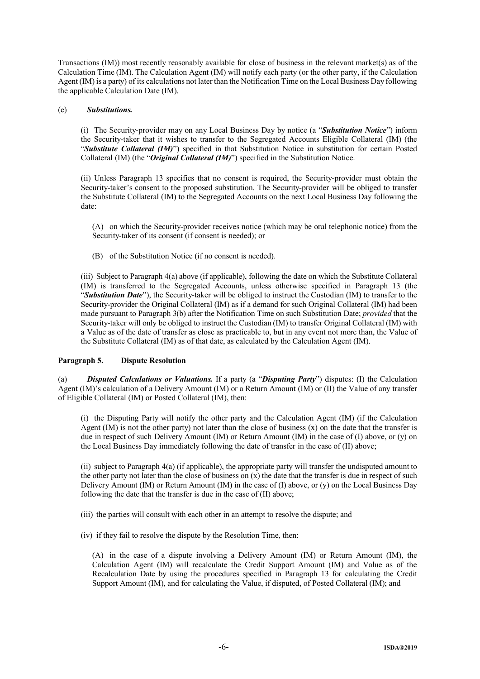Transactions (IM)) most recently reasonably available for close of business in the relevant market(s) as of the Calculation Time (IM). The Calculation Agent (IM) will notify each party (or the other party, if the Calculation Agent (IM) is a party) of its calculations not later than the Notification Time on the Local Business Day following the applicable Calculation Date (IM).

#### (e) *Substitutions.*

(i) The Security-provider may on any Local Business Day by notice (a "*Substitution Notice*") inform the Security-taker that it wishes to transfer to the Segregated Accounts Eligible Collateral (IM) (the "*Substitute Collateral (IM)*") specified in that Substitution Notice in substitution for certain Posted Collateral (IM) (the "*Original Collateral (IM)*") specified in the Substitution Notice.

(ii) Unless Paragraph 13 specifies that no consent is required, the Security-provider must obtain the Security-taker's consent to the proposed substitution. The Security-provider will be obliged to transfer the Substitute Collateral (IM) to the Segregated Accounts on the next Local Business Day following the date:

(A) on which the Security-provider receives notice (which may be oral telephonic notice) from the Security-taker of its consent (if consent is needed); or

(B) of the Substitution Notice (if no consent is needed).

(iii) Subject to Paragraph 4(a) above (if applicable), following the date on which the Substitute Collateral (IM) is transferred to the Segregated Accounts, unless otherwise specified in Paragraph 13 (the "*Substitution Date*"), the Security-taker will be obliged to instruct the Custodian (IM) to transfer to the Security-provider the Original Collateral (IM) as if a demand for such Original Collateral (IM) had been made pursuant to Paragraph 3(b) after the Notification Time on such Substitution Date; *provided* that the Security-taker will only be obliged to instruct the Custodian (IM) to transfer Original Collateral (IM) with a Value as of the date of transfer as close as practicable to, but in any event not more than, the Value of the Substitute Collateral (IM) as of that date, as calculated by the Calculation Agent (IM).

## **Paragraph 5. Dispute Resolution**

(a) *Disputed Calculations or Valuations.* If a party (a "*Disputing Party*") disputes: (I) the Calculation Agent (IM)'s calculation of a Delivery Amount (IM) or a Return Amount (IM) or (II) the Value of any transfer of Eligible Collateral (IM) or Posted Collateral (IM), then:

(i) the Disputing Party will notify the other party and the Calculation Agent (IM) (if the Calculation Agent (IM) is not the other party) not later than the close of business (x) on the date that the transfer is due in respect of such Delivery Amount (IM) or Return Amount (IM) in the case of (I) above, or (y) on the Local Business Day immediately following the date of transfer in the case of (II) above;

(ii) subject to Paragraph 4(a) (if applicable), the appropriate party will transfer the undisputed amount to the other party not later than the close of business on  $(x)$  the date that the transfer is due in respect of such Delivery Amount (IM) or Return Amount (IM) in the case of (I) above, or (y) on the Local Business Day following the date that the transfer is due in the case of (II) above;

(iii) the parties will consult with each other in an attempt to resolve the dispute; and

(iv) if they fail to resolve the dispute by the Resolution Time, then:

(A) in the case of a dispute involving a Delivery Amount (IM) or Return Amount (IM), the Calculation Agent (IM) will recalculate the Credit Support Amount (IM) and Value as of the Recalculation Date by using the procedures specified in Paragraph 13 for calculating the Credit Support Amount (IM), and for calculating the Value, if disputed, of Posted Collateral (IM); and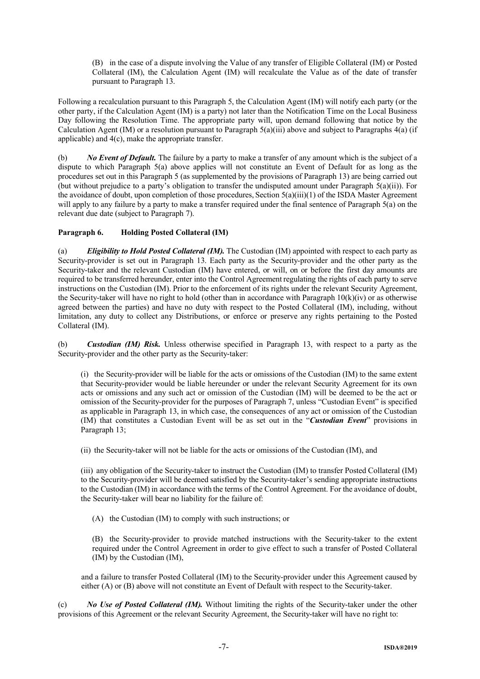(B) in the case of a dispute involving the Value of any transfer of Eligible Collateral (IM) or Posted Collateral (IM), the Calculation Agent (IM) will recalculate the Value as of the date of transfer pursuant to Paragraph 13.

Following a recalculation pursuant to this Paragraph 5, the Calculation Agent (IM) will notify each party (or the other party, if the Calculation Agent (IM) is a party) not later than the Notification Time on the Local Business Day following the Resolution Time. The appropriate party will, upon demand following that notice by the Calculation Agent (IM) or a resolution pursuant to Paragraph  $5(a)(iii)$  above and subject to Paragraphs  $4(a)$  (if applicable) and 4(c), make the appropriate transfer.

(b) *No Event of Default.* The failure by a party to make a transfer of any amount which is the subject of a dispute to which Paragraph 5(a) above applies will not constitute an Event of Default for as long as the procedures set out in this Paragraph 5 (as supplemented by the provisions of Paragraph 13) are being carried out (but without prejudice to a party's obligation to transfer the undisputed amount under Paragraph 5(a)(ii)). For the avoidance of doubt, upon completion of those procedures, Section 5(a)(iii)(1) of the ISDA Master Agreement will apply to any failure by a party to make a transfer required under the final sentence of Paragraph 5(a) on the relevant due date (subject to Paragraph 7).

# **Paragraph 6. Holding Posted Collateral (IM)**

(a) *Eligibility to Hold Posted Collateral (IM).* The Custodian (IM) appointed with respect to each party as Security-provider is set out in Paragraph 13. Each party as the Security-provider and the other party as the Security-taker and the relevant Custodian (IM) have entered, or will, on or before the first day amounts are required to be transferred hereunder, enter into the Control Agreement regulating the rights of each party to serve instructions on the Custodian (IM). Prior to the enforcement of its rights under the relevant Security Agreement, the Security-taker will have no right to hold (other than in accordance with Paragraph  $10(k)(iv)$  or as otherwise agreed between the parties) and have no duty with respect to the Posted Collateral (IM), including, without limitation, any duty to collect any Distributions, or enforce or preserve any rights pertaining to the Posted Collateral (IM).

(b) *Custodian (IM) Risk.* Unless otherwise specified in Paragraph 13, with respect to a party as the Security-provider and the other party as the Security-taker:

(i) the Security-provider will be liable for the acts or omissions of the Custodian (IM) to the same extent that Security-provider would be liable hereunder or under the relevant Security Agreement for its own acts or omissions and any such act or omission of the Custodian (IM) will be deemed to be the act or omission of the Security-provider for the purposes of Paragraph 7, unless "Custodian Event" is specified as applicable in Paragraph 13, in which case, the consequences of any act or omission of the Custodian (IM) that constitutes a Custodian Event will be as set out in the "*Custodian Event*" provisions in Paragraph 13;

(ii) the Security-taker will not be liable for the acts or omissions of the Custodian (IM), and

(iii) any obligation of the Security-taker to instruct the Custodian (IM) to transfer Posted Collateral (IM) to the Security-provider will be deemed satisfied by the Security-taker's sending appropriate instructions to the Custodian (IM) in accordance with the terms of the Control Agreement. For the avoidance of doubt, the Security-taker will bear no liability for the failure of:

(A) the Custodian (IM) to comply with such instructions; or

(B) the Security-provider to provide matched instructions with the Security-taker to the extent required under the Control Agreement in order to give effect to such a transfer of Posted Collateral (IM) by the Custodian (IM),

and a failure to transfer Posted Collateral (IM) to the Security-provider under this Agreement caused by either (A) or (B) above will not constitute an Event of Default with respect to the Security-taker.

(c) *No Use of Posted Collateral (IM).* Without limiting the rights of the Security-taker under the other provisions of this Agreement or the relevant Security Agreement, the Security-taker will have no right to: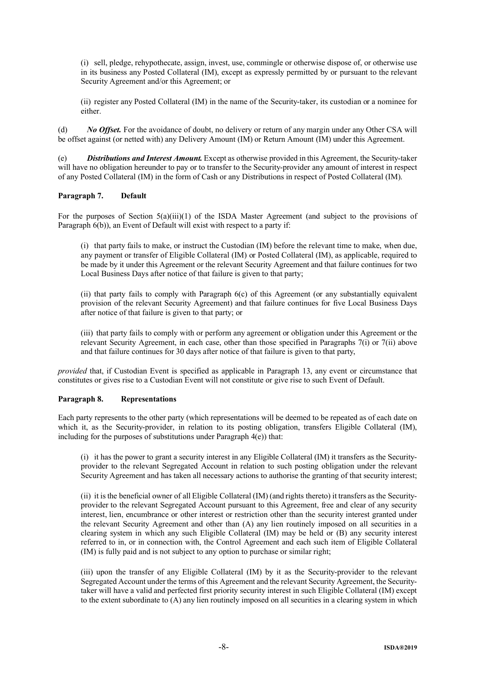(i) sell, pledge, rehypothecate, assign, invest, use, commingle or otherwise dispose of, or otherwise use in its business any Posted Collateral (IM), except as expressly permitted by or pursuant to the relevant Security Agreement and/or this Agreement; or

(ii) register any Posted Collateral (IM) in the name of the Security-taker, its custodian or a nominee for either.

(d) *No Offset.* For the avoidance of doubt, no delivery or return of any margin under any Other CSA will be offset against (or netted with) any Delivery Amount (IM) or Return Amount (IM) under this Agreement.

(e) *Distributions and Interest Amount.* Except as otherwise provided in this Agreement, the Security-taker will have no obligation hereunder to pay or to transfer to the Security-provider any amount of interest in respect of any Posted Collateral (IM) in the form of Cash or any Distributions in respect of Posted Collateral (IM).

## **Paragraph 7. Default**

For the purposes of Section 5(a)(iii)(1) of the ISDA Master Agreement (and subject to the provisions of Paragraph  $6(b)$ ), an Event of Default will exist with respect to a party if:

(i) that party fails to make, or instruct the Custodian (IM) before the relevant time to make, when due, any payment or transfer of Eligible Collateral (IM) or Posted Collateral (IM), as applicable, required to be made by it under this Agreement or the relevant Security Agreement and that failure continues for two Local Business Days after notice of that failure is given to that party;

(ii) that party fails to comply with Paragraph 6(c) of this Agreement (or any substantially equivalent provision of the relevant Security Agreement) and that failure continues for five Local Business Days after notice of that failure is given to that party; or

(iii) that party fails to comply with or perform any agreement or obligation under this Agreement or the relevant Security Agreement, in each case, other than those specified in Paragraphs 7(i) or 7(ii) above and that failure continues for 30 days after notice of that failure is given to that party,

*provided* that, if Custodian Event is specified as applicable in Paragraph 13, any event or circumstance that constitutes or gives rise to a Custodian Event will not constitute or give rise to such Event of Default.

## **Paragraph 8. Representations**

Each party represents to the other party (which representations will be deemed to be repeated as of each date on which it, as the Security-provider, in relation to its posting obligation, transfers Eligible Collateral (IM), including for the purposes of substitutions under Paragraph 4(e)) that:

(i) it has the power to grant a security interest in any Eligible Collateral (IM) it transfers as the Securityprovider to the relevant Segregated Account in relation to such posting obligation under the relevant Security Agreement and has taken all necessary actions to authorise the granting of that security interest;

(ii) it is the beneficial owner of all Eligible Collateral (IM) (and rights thereto) it transfers as the Securityprovider to the relevant Segregated Account pursuant to this Agreement, free and clear of any security interest, lien, encumbrance or other interest or restriction other than the security interest granted under the relevant Security Agreement and other than (A) any lien routinely imposed on all securities in a clearing system in which any such Eligible Collateral (IM) may be held or (B) any security interest referred to in, or in connection with, the Control Agreement and each such item of Eligible Collateral (IM) is fully paid and is not subject to any option to purchase or similar right;

(iii) upon the transfer of any Eligible Collateral (IM) by it as the Security-provider to the relevant Segregated Account under the terms of this Agreement and the relevant Security Agreement, the Securitytaker will have a valid and perfected first priority security interest in such Eligible Collateral (IM) except to the extent subordinate to (A) any lien routinely imposed on all securities in a clearing system in which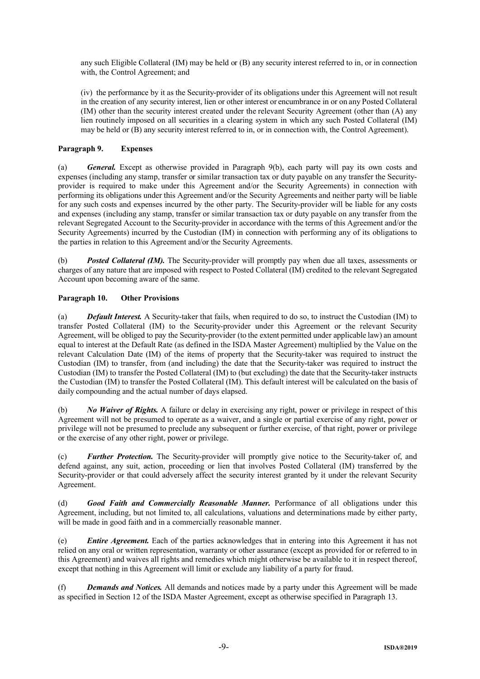any such Eligible Collateral (IM) may be held or (B) any security interest referred to in, or in connection with, the Control Agreement; and

(iv) the performance by it as the Security-provider of its obligations under this Agreement will not result in the creation of any security interest, lien or other interest or encumbrance in or on any Posted Collateral (IM) other than the security interest created under the relevant Security Agreement (other than (A) any lien routinely imposed on all securities in a clearing system in which any such Posted Collateral (IM) may be held or (B) any security interest referred to in, or in connection with, the Control Agreement).

# **Paragraph 9. Expenses**

(a) *General.* Except as otherwise provided in Paragraph 9(b), each party will pay its own costs and expenses (including any stamp, transfer or similar transaction tax or duty payable on any transfer the Securityprovider is required to make under this Agreement and/or the Security Agreements) in connection with performing its obligations under this Agreement and/or the Security Agreements and neither party will be liable for any such costs and expenses incurred by the other party. The Security-provider will be liable for any costs and expenses (including any stamp, transfer or similar transaction tax or duty payable on any transfer from the relevant Segregated Account to the Security-provider in accordance with the terms of this Agreement and/or the Security Agreements) incurred by the Custodian (IM) in connection with performing any of its obligations to the parties in relation to this Agreement and/or the Security Agreements.

(b) *Posted Collateral (IM).* The Security-provider will promptly pay when due all taxes, assessments or charges of any nature that are imposed with respect to Posted Collateral (IM) credited to the relevant Segregated Account upon becoming aware of the same.

# **Paragraph 10. Other Provisions**

(a) *Default Interest.* A Security-taker that fails, when required to do so, to instruct the Custodian (IM) to transfer Posted Collateral (IM) to the Security-provider under this Agreement or the relevant Security Agreement, will be obliged to pay the Security-provider (to the extent permitted under applicable law) an amount equal to interest at the Default Rate (as defined in the ISDA Master Agreement) multiplied by the Value on the relevant Calculation Date (IM) of the items of property that the Security-taker was required to instruct the Custodian (IM) to transfer, from (and including) the date that the Security-taker was required to instruct the Custodian (IM) to transfer the Posted Collateral (IM) to (but excluding) the date that the Security-taker instructs the Custodian (IM) to transfer the Posted Collateral (IM). This default interest will be calculated on the basis of daily compounding and the actual number of days elapsed.

(b) *No Waiver of Rights.* A failure or delay in exercising any right, power or privilege in respect of this Agreement will not be presumed to operate as a waiver, and a single or partial exercise of any right, power or privilege will not be presumed to preclude any subsequent or further exercise, of that right, power or privilege or the exercise of any other right, power or privilege.

(c) *Further Protection.* The Security-provider will promptly give notice to the Security-taker of, and defend against, any suit, action, proceeding or lien that involves Posted Collateral (IM) transferred by the Security-provider or that could adversely affect the security interest granted by it under the relevant Security Agreement.

(d) *Good Faith and Commercially Reasonable Manner.* Performance of all obligations under this Agreement, including, but not limited to, all calculations, valuations and determinations made by either party, will be made in good faith and in a commercially reasonable manner.

(e) *Entire Agreement.* Each of the parties acknowledges that in entering into this Agreement it has not relied on any oral or written representation, warranty or other assurance (except as provided for or referred to in this Agreement) and waives all rights and remedies which might otherwise be available to it in respect thereof, except that nothing in this Agreement will limit or exclude any liability of a party for fraud.

(f) *Demands and Notices.* All demands and notices made by a party under this Agreement will be made as specified in Section 12 of the ISDA Master Agreement, except as otherwise specified in Paragraph 13.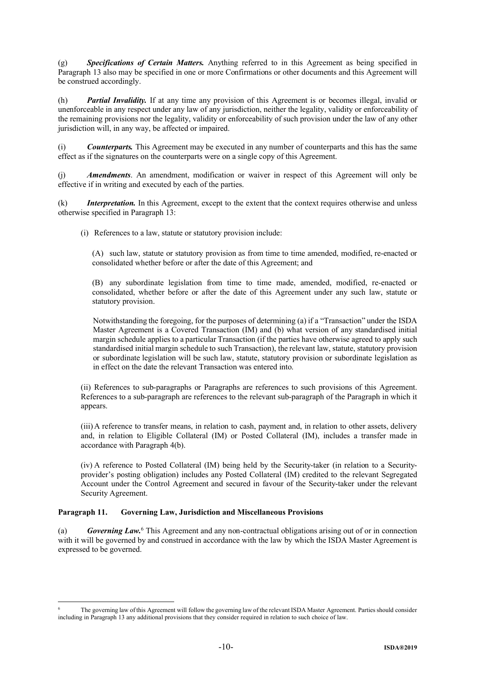(g) *Specifications of Certain Matters.* Anything referred to in this Agreement as being specified in Paragraph 13 also may be specified in one or more Confirmations or other documents and this Agreement will be construed accordingly.

(h) *Partial Invalidity.* If at any time any provision of this Agreement is or becomes illegal, invalid or unenforceable in any respect under any law of any jurisdiction, neither the legality, validity or enforceability of the remaining provisions nor the legality, validity or enforceability of such provision under the law of any other jurisdiction will, in any way, be affected or impaired.

(i) *Counterparts.* This Agreement may be executed in any number of counterparts and this has the same effect as if the signatures on the counterparts were on a single copy of this Agreement.

(j) *Amendments*. An amendment, modification or waiver in respect of this Agreement will only be effective if in writing and executed by each of the parties.

(k) *Interpretation.* In this Agreement, except to the extent that the context requires otherwise and unless otherwise specified in Paragraph 13:

(i) References to a law, statute or statutory provision include:

(A) such law, statute or statutory provision as from time to time amended, modified, re-enacted or consolidated whether before or after the date of this Agreement; and

(B) any subordinate legislation from time to time made, amended, modified, re-enacted or consolidated, whether before or after the date of this Agreement under any such law, statute or statutory provision.

Notwithstanding the foregoing, for the purposes of determining (a) if a "Transaction" under the ISDA Master Agreement is a Covered Transaction (IM) and (b) what version of any standardised initial margin schedule applies to a particular Transaction (if the parties have otherwise agreed to apply such standardised initial margin schedule to such Transaction), the relevant law, statute, statutory provision or subordinate legislation will be such law, statute, statutory provision or subordinate legislation as in effect on the date the relevant Transaction was entered into.

(ii) References to sub-paragraphs or Paragraphs are references to such provisions of this Agreement. References to a sub-paragraph are references to the relevant sub-paragraph of the Paragraph in which it appears.

(iii)A reference to transfer means, in relation to cash, payment and, in relation to other assets, delivery and, in relation to Eligible Collateral (IM) or Posted Collateral (IM), includes a transfer made in accordance with Paragraph 4(b).

(iv) A reference to Posted Collateral (IM) being held by the Security-taker (in relation to a Securityprovider's posting obligation) includes any Posted Collateral (IM) credited to the relevant Segregated Account under the Control Agreement and secured in favour of the Security-taker under the relevant Security Agreement.

# **Paragraph 11. Governing Law, Jurisdiction and Miscellaneous Provisions**

1

(a) *Governing Law.*<sup>6</sup> This Agreement and any non-contractual obligations arising out of or in connection with it will be governed by and construed in accordance with the law by which the ISDA Master Agreement is expressed to be governed.

The governing law of this Agreement will follow the governing law of the relevant ISDA Master Agreement. Parties should consider including in Paragraph 13 any additional provisions that they consider required in relation to such choice of law.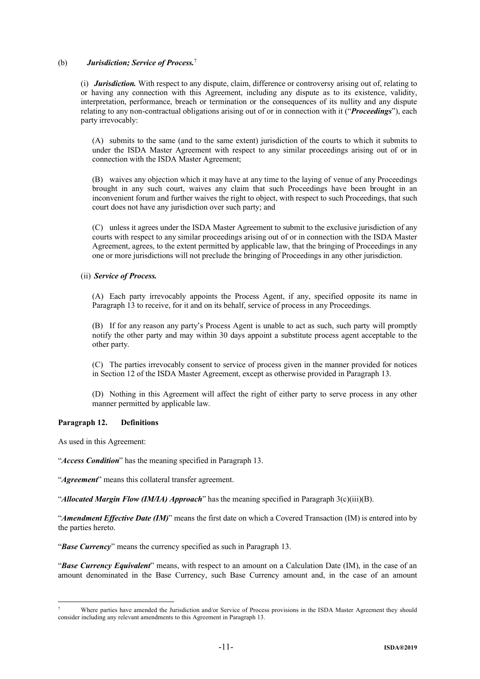# (b) *Jurisdiction; Service of Process.*<sup>7</sup>

(i) *Jurisdiction.* With respect to any dispute, claim, difference or controversy arising out of, relating to or having any connection with this Agreement, including any dispute as to its existence, validity, interpretation, performance, breach or termination or the consequences of its nullity and any dispute relating to any non-contractual obligations arising out of or in connection with it ("*Proceedings*"), each party irrevocably:

(A) submits to the same (and to the same extent) jurisdiction of the courts to which it submits to under the ISDA Master Agreement with respect to any similar proceedings arising out of or in connection with the ISDA Master Agreement;

(B) waives any objection which it may have at any time to the laying of venue of any Proceedings brought in any such court, waives any claim that such Proceedings have been brought in an inconvenient forum and further waives the right to object, with respect to such Proceedings, that such court does not have any jurisdiction over such party; and

(C) unless it agrees under the ISDA Master Agreement to submit to the exclusive jurisdiction of any courts with respect to any similar proceedings arising out of or in connection with the ISDA Master Agreement, agrees, to the extent permitted by applicable law, that the bringing of Proceedings in any one or more jurisdictions will not preclude the bringing of Proceedings in any other jurisdiction.

## (ii) *Service of Process.*

(A) Each party irrevocably appoints the Process Agent, if any, specified opposite its name in Paragraph 13 to receive, for it and on its behalf, service of process in any Proceedings.

(B) If for any reason any party's Process Agent is unable to act as such, such party will promptly notify the other party and may within 30 days appoint a substitute process agent acceptable to the other party.

(C) The parties irrevocably consent to service of process given in the manner provided for notices in Section 12 of the ISDA Master Agreement, except as otherwise provided in Paragraph 13.

(D) Nothing in this Agreement will affect the right of either party to serve process in any other manner permitted by applicable law.

## **Paragraph 12. Definitions**

As used in this Agreement:

1

"*Access Condition*" has the meaning specified in Paragraph 13.

"*Agreement*" means this collateral transfer agreement.

"*Allocated Margin Flow (IM/IA) Approach*" has the meaning specified in Paragraph 3(c)(iii)(B).

"*Amendment Effective Date (IM)*" means the first date on which a Covered Transaction (IM) is entered into by the parties hereto.

"*Base Currency*" means the currency specified as such in Paragraph 13.

"*Base Currency Equivalent*" means, with respect to an amount on a Calculation Date (IM), in the case of an amount denominated in the Base Currency, such Base Currency amount and, in the case of an amount

<sup>7</sup> Where parties have amended the Jurisdiction and/or Service of Process provisions in the ISDA Master Agreement they should consider including any relevant amendments to this Agreement in Paragraph 13.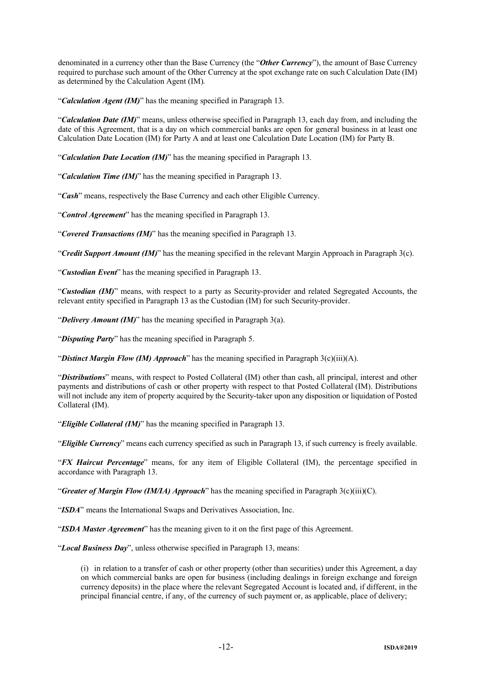denominated in a currency other than the Base Currency (the "*Other Currency*"), the amount of Base Currency required to purchase such amount of the Other Currency at the spot exchange rate on such Calculation Date (IM) as determined by the Calculation Agent (IM).

"*Calculation Agent (IM)*" has the meaning specified in Paragraph 13.

"*Calculation Date (IM)*" means, unless otherwise specified in Paragraph 13, each day from, and including the date of this Agreement, that is a day on which commercial banks are open for general business in at least one Calculation Date Location (IM) for Party A and at least one Calculation Date Location (IM) for Party B.

"*Calculation Date Location (IM)*" has the meaning specified in Paragraph 13.

"*Calculation Time (IM)*" has the meaning specified in Paragraph 13.

"*Cash*" means, respectively the Base Currency and each other Eligible Currency.

"*Control Agreement*" has the meaning specified in Paragraph 13.

"*Covered Transactions (IM)*" has the meaning specified in Paragraph 13.

"*Credit Support Amount (IM)*" has the meaning specified in the relevant Margin Approach in Paragraph 3(c).

"*Custodian Event*" has the meaning specified in Paragraph 13.

"*Custodian (IM)*" means, with respect to a party as Security-provider and related Segregated Accounts, the relevant entity specified in Paragraph 13 as the Custodian (IM) for such Security-provider.

"*Delivery Amount (IM)*" has the meaning specified in Paragraph 3(a).

"*Disputing Party*" has the meaning specified in Paragraph 5.

"*Distinct Margin Flow (IM) Approach*" has the meaning specified in Paragraph 3(c)(iii)(A).

"*Distributions*" means, with respect to Posted Collateral (IM) other than cash, all principal, interest and other payments and distributions of cash or other property with respect to that Posted Collateral (IM). Distributions will not include any item of property acquired by the Security-taker upon any disposition or liquidation of Posted Collateral (IM).

"*Eligible Collateral (IM)*" has the meaning specified in Paragraph 13.

"*Eligible Currency*" means each currency specified as such in Paragraph 13, if such currency is freely available.

"*FX Haircut Percentage*" means, for any item of Eligible Collateral (IM), the percentage specified in accordance with Paragraph 13.

"*Greater of Margin Flow (IM/IA) Approach*" has the meaning specified in Paragraph 3(c)(iii)(C).

"*ISDA*" means the International Swaps and Derivatives Association, Inc.

"*ISDA Master Agreement*" has the meaning given to it on the first page of this Agreement.

"*Local Business Day*", unless otherwise specified in Paragraph 13, means:

(i) in relation to a transfer of cash or other property (other than securities) under this Agreement, a day on which commercial banks are open for business (including dealings in foreign exchange and foreign currency deposits) in the place where the relevant Segregated Account is located and, if different, in the principal financial centre, if any, of the currency of such payment or, as applicable, place of delivery;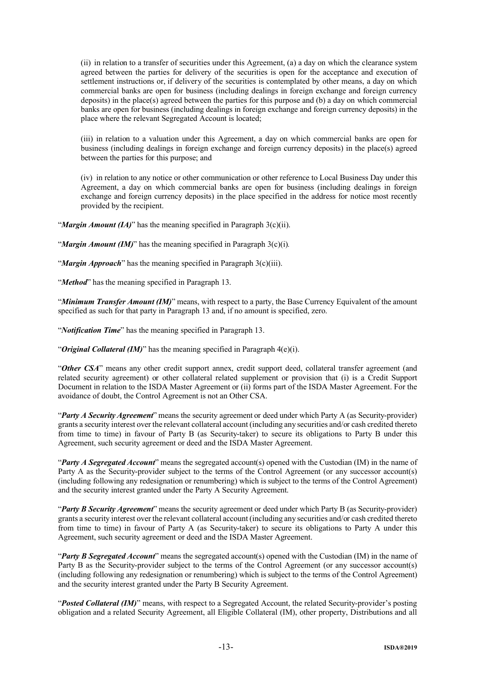(ii) in relation to a transfer of securities under this Agreement, (a) a day on which the clearance system agreed between the parties for delivery of the securities is open for the acceptance and execution of settlement instructions or, if delivery of the securities is contemplated by other means, a day on which commercial banks are open for business (including dealings in foreign exchange and foreign currency deposits) in the place(s) agreed between the parties for this purpose and (b) a day on which commercial banks are open for business (including dealings in foreign exchange and foreign currency deposits) in the place where the relevant Segregated Account is located;

(iii) in relation to a valuation under this Agreement, a day on which commercial banks are open for business (including dealings in foreign exchange and foreign currency deposits) in the place(s) agreed between the parties for this purpose; and

(iv) in relation to any notice or other communication or other reference to Local Business Day under this Agreement, a day on which commercial banks are open for business (including dealings in foreign exchange and foreign currency deposits) in the place specified in the address for notice most recently provided by the recipient.

"*Margin Amount (IA)*" has the meaning specified in Paragraph 3(c)(ii).

"*Margin Amount (IM)*" has the meaning specified in Paragraph 3(c)(i)*.*

"*Margin Approach*" has the meaning specified in Paragraph 3(c)(iii).

"*Method*" has the meaning specified in Paragraph 13.

"*Minimum Transfer Amount (IM)*" means, with respect to a party, the Base Currency Equivalent of the amount specified as such for that party in Paragraph 13 and, if no amount is specified, zero.

"*Notification Time*" has the meaning specified in Paragraph 13.

"*Original Collateral (IM)*" has the meaning specified in Paragraph 4(e)(i).

"*Other CSA*" means any other credit support annex, credit support deed, collateral transfer agreement (and related security agreement) or other collateral related supplement or provision that (i) is a Credit Support Document in relation to the ISDA Master Agreement or (ii) forms part of the ISDA Master Agreement. For the avoidance of doubt, the Control Agreement is not an Other CSA.

"*Party A Security Agreement*" means the security agreement or deed under which Party A (as Security-provider) grants a security interest over the relevant collateral account (including any securities and/or cash credited thereto from time to time) in favour of Party B (as Security-taker) to secure its obligations to Party B under this Agreement, such security agreement or deed and the ISDA Master Agreement.

"*Party A Segregated Account*" means the segregated account(s) opened with the Custodian (IM) in the name of Party A as the Security-provider subject to the terms of the Control Agreement (or any successor account(s) (including following any redesignation or renumbering) which is subject to the terms of the Control Agreement) and the security interest granted under the Party A Security Agreement.

"*Party B Security Agreement*" means the security agreement or deed under which Party B (as Security-provider) grants a security interest over the relevant collateral account (including any securities and/or cash credited thereto from time to time) in favour of Party A (as Security-taker) to secure its obligations to Party A under this Agreement, such security agreement or deed and the ISDA Master Agreement.

"*Party B Segregated Account*" means the segregated account(s) opened with the Custodian (IM) in the name of Party B as the Security-provider subject to the terms of the Control Agreement (or any successor account(s) (including following any redesignation or renumbering) which is subject to the terms of the Control Agreement) and the security interest granted under the Party B Security Agreement.

"*Posted Collateral (IM)*" means, with respect to a Segregated Account, the related Security-provider's posting obligation and a related Security Agreement, all Eligible Collateral (IM), other property, Distributions and all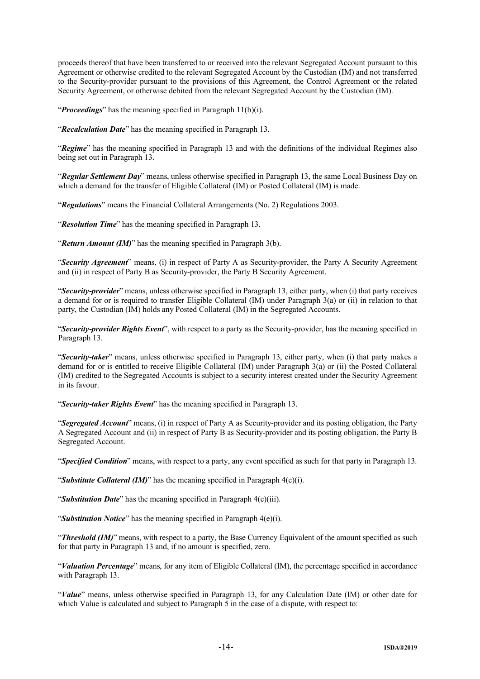proceeds thereof that have been transferred to or received into the relevant Segregated Account pursuant to this Agreement or otherwise credited to the relevant Segregated Account by the Custodian (IM) and not transferred to the Security-provider pursuant to the provisions of this Agreement, the Control Agreement or the related Security Agreement, or otherwise debited from the relevant Segregated Account by the Custodian (IM).

"*Proceedings*" has the meaning specified in Paragraph 11(b)(i).

"*Recalculation Date*" has the meaning specified in Paragraph 13.

"*Regime*" has the meaning specified in Paragraph 13 and with the definitions of the individual Regimes also being set out in Paragraph 13.

"*Regular Settlement Day*" means, unless otherwise specified in Paragraph 13, the same Local Business Day on which a demand for the transfer of Eligible Collateral (IM) or Posted Collateral (IM) is made.

"*Regulations*" means the Financial Collateral Arrangements (No. 2) Regulations 2003.

"*Resolution Time*" has the meaning specified in Paragraph 13.

"*Return Amount (IM)*" has the meaning specified in Paragraph 3(b).

"*Security Agreement*" means, (i) in respect of Party A as Security-provider, the Party A Security Agreement and (ii) in respect of Party B as Security-provider, the Party B Security Agreement.

"*Security-provider*" means, unless otherwise specified in Paragraph 13, either party, when (i) that party receives a demand for or is required to transfer Eligible Collateral (IM) under Paragraph 3(a) or (ii) in relation to that party, the Custodian (IM) holds any Posted Collateral (IM) in the Segregated Accounts.

"*Security-provider Rights Event*", with respect to a party as the Security-provider, has the meaning specified in Paragraph 13.

"*Security-taker*" means, unless otherwise specified in Paragraph 13, either party, when (i) that party makes a demand for or is entitled to receive Eligible Collateral (IM) under Paragraph 3(a) or (ii) the Posted Collateral (IM) credited to the Segregated Accounts is subject to a security interest created under the Security Agreement in its favour.

"*Security-taker Rights Event*" has the meaning specified in Paragraph 13.

"*Segregated Account*" means, (i) in respect of Party A as Security-provider and its posting obligation, the Party A Segregated Account and (ii) in respect of Party B as Security-provider and its posting obligation, the Party B Segregated Account.

"*Specified Condition*" means, with respect to a party, any event specified as such for that party in Paragraph 13.

"*Substitute Collateral (IM)*" has the meaning specified in Paragraph 4(e)(i).

"*Substitution Date*" has the meaning specified in Paragraph 4(e)(iii).

"*Substitution Notice*" has the meaning specified in Paragraph 4(e)(i).

"*Threshold (IM)*" means, with respect to a party, the Base Currency Equivalent of the amount specified as such for that party in Paragraph 13 and, if no amount is specified, zero.

"*Valuation Percentage*" means, for any item of Eligible Collateral (IM), the percentage specified in accordance with Paragraph 13.

"*Value*" means, unless otherwise specified in Paragraph 13, for any Calculation Date (IM) or other date for which Value is calculated and subject to Paragraph 5 in the case of a dispute, with respect to: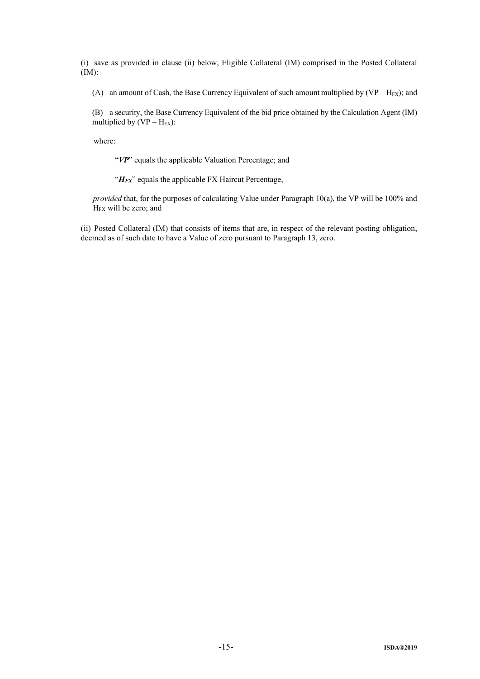(i) save as provided in clause (ii) below, Eligible Collateral (IM) comprised in the Posted Collateral (IM):

(A) an amount of Cash, the Base Currency Equivalent of such amount multiplied by  $(VP - H_{FX})$ ; and

(B) a security, the Base Currency Equivalent of the bid price obtained by the Calculation Agent (IM) multiplied by  $(VP - H_{FX})$ :

where:

"VP" equals the applicable Valuation Percentage; and

"*H<sub>FX</sub>*" equals the applicable FX Haircut Percentage,

*provided* that, for the purposes of calculating Value under Paragraph 10(a), the VP will be 100% and H<sub>FX</sub> will be zero; and

(ii) Posted Collateral (IM) that consists of items that are, in respect of the relevant posting obligation, deemed as of such date to have a Value of zero pursuant to Paragraph 13, zero.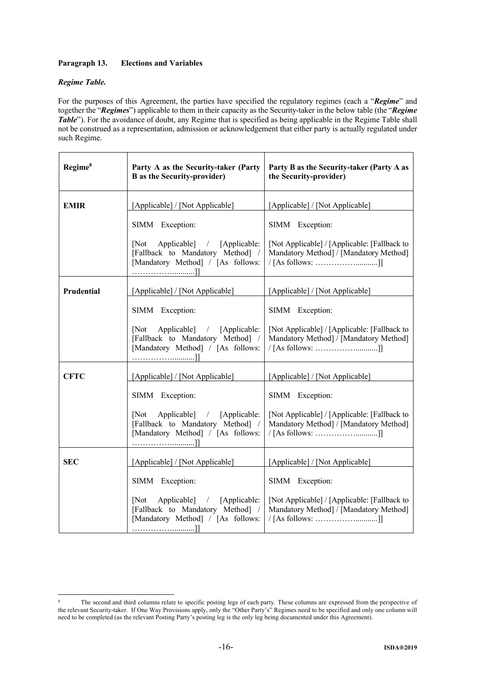# **Paragraph 13. Elections and Variables**

# *Regime Table.*

For the purposes of this Agreement, the parties have specified the regulatory regimes (each a "*Regime*" and together the "*Regimes*") applicable to them in their capacity as the Security-taker in the below table (the "*Regime Table*"). For the avoidance of doubt, any Regime that is specified as being applicable in the Regime Table shall not be construed as a representation, admission or acknowledgement that either party is actually regulated under such Regime.

| Regime <sup>8</sup> | Party A as the Security-taker (Party<br><b>B</b> as the Security-provider)                                   | Party B as the Security-taker (Party A as<br>the Security-provider)                                            |  |
|---------------------|--------------------------------------------------------------------------------------------------------------|----------------------------------------------------------------------------------------------------------------|--|
| <b>EMIR</b>         | [Applicable] / [Not Applicable]                                                                              | [Applicable] / [Not Applicable]                                                                                |  |
|                     | SIMM Exception:                                                                                              | SIMM Exception:                                                                                                |  |
|                     | Applicable] / [Applicable:<br>[Not]<br>[Fallback to Mandatory Method] /<br>[Mandatory Method] / [As follows: | [Not Applicable] / [Applicable: [Fallback to<br>Mandatory Method] / [Mandatory Method]<br>$/$ [As follows: ]]  |  |
| Prudential          | [Applicable] / [Not Applicable]                                                                              | [Applicable] / [Not Applicable]                                                                                |  |
|                     | SIMM Exception:                                                                                              | SIMM Exception:                                                                                                |  |
|                     | [Not Applicable] / [Applicable:<br>[Fallback to Mandatory Method] /<br>[Mandatory Method] / [As follows:     | [Not Applicable] / [Applicable: [Fallback to]<br>Mandatory Method] / [Mandatory Method]<br>/ [As follows: ]]   |  |
| <b>CFTC</b>         | [Applicable] / [Not Applicable]                                                                              | [Applicable] / [Not Applicable]                                                                                |  |
|                     | SIMM Exception:                                                                                              | SIMM Exception:                                                                                                |  |
|                     | Applicable] / [Applicable:<br>[Not]<br>[Fallback to Mandatory Method] /<br>[Mandatory Method] / [As follows: | [Not Applicable] / [Applicable: [Fallback to]<br>Mandatory Method] / [Mandatory Method]<br>$/$ [As follows: ]] |  |
| <b>SEC</b>          | [Applicable] / [Not Applicable]                                                                              | [Applicable] / [Not Applicable]                                                                                |  |
|                     | SIMM Exception:                                                                                              | SIMM Exception:                                                                                                |  |
|                     | Applicable] / [Applicable:<br>[Not]<br>[Fallback to Mandatory Method] /<br>[Mandatory Method] / [As follows: | [Not Applicable] / [Applicable: [Fallback to<br>Mandatory Method] / [Mandatory Method]<br>/ [As follows: ]]    |  |

<sup>1</sup> <sup>8</sup> The second and third columns relate to specific posting legs of each party. These columns are expressed from the perspective of the relevant Security-taker. If One Way Provisions apply, only the "Other Party's" Regimes need to be specified and only one column will need to be completed (as the relevant Posting Party's posting leg is the only leg being documented under this Agreement).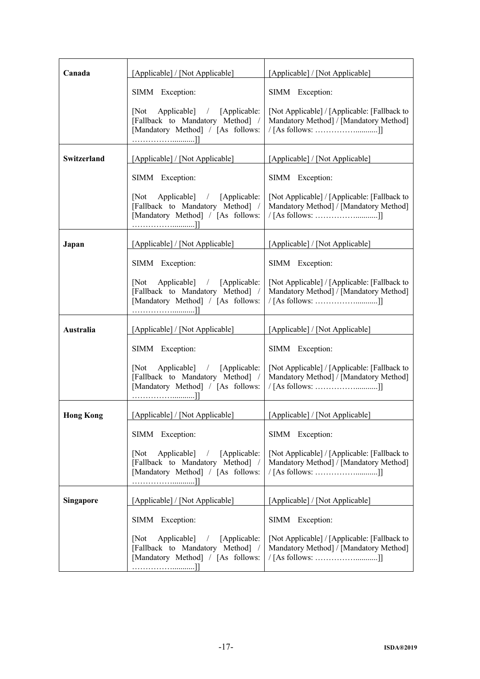| Canada           | [Applicable] / [Not Applicable]                                                                              | [Applicable] / [Not Applicable]                                                                                |  |
|------------------|--------------------------------------------------------------------------------------------------------------|----------------------------------------------------------------------------------------------------------------|--|
|                  | SIMM Exception:                                                                                              | SIMM Exception:                                                                                                |  |
|                  | Applicable] / [Applicable:<br>[Not]<br>[Fallback to Mandatory Method] /<br>[Mandatory Method] / [As follows: | [Not Applicable] / [Applicable: [Fallback to]<br>Mandatory Method] / [Mandatory Method]<br>/ [As follows: ]]   |  |
| Switzerland      | [Applicable] / [Not Applicable]                                                                              | [Applicable] / [Not Applicable]                                                                                |  |
|                  | SIMM Exception:                                                                                              | SIMM Exception:                                                                                                |  |
|                  | [Not Applicable] / [Applicable:<br>[Fallback to Mandatory Method] /<br>[Mandatory Method] / [As follows:     | [Not Applicable] / [Applicable: [Fallback to]<br>Mandatory Method] / [Mandatory Method]<br>$/$ [As follows: ]] |  |
| Japan            | [Applicable] / [Not Applicable]                                                                              | [Applicable] / [Not Applicable]                                                                                |  |
|                  | SIMM Exception:                                                                                              | SIMM Exception:                                                                                                |  |
|                  | [Not Applicable] / [Applicable:<br>[Fallback to Mandatory Method] /<br>[Mandatory Method] / [As follows:     | [Not Applicable] / [Applicable: [Fallback to]<br>Mandatory Method] / [Mandatory Method]<br>$/$ [As follows: ]] |  |
| <b>Australia</b> | [Applicable] / [Not Applicable]                                                                              | [Applicable] / [Not Applicable]                                                                                |  |
|                  | SIMM Exception:                                                                                              | SIMM Exception:                                                                                                |  |
|                  | [Not Applicable] / [Applicable:<br>[Fallback to Mandatory Method] /<br>[Mandatory Method] / [As follows:     | [Not Applicable] / [Applicable: [Fallback to]<br>Mandatory Method] / [Mandatory Method]<br>/ [As follows: ]]   |  |
| <b>Hong Kong</b> | [Applicable] / [Not Applicable]                                                                              | [Applicable] / [Not Applicable]                                                                                |  |
|                  | SIMM Exception:                                                                                              | SIMM Exception:                                                                                                |  |
|                  | Applicable] / [Applicable:<br>[Not]<br>[Fallback to Mandatory Method] /<br>[Mandatory Method] / [As follows: | [Not Applicable] / [Applicable: [Fallback to]<br>Mandatory Method] / [Mandatory Method]<br>$/$ [As follows: ]] |  |
| <b>Singapore</b> | [Applicable] / [Not Applicable]                                                                              | [Applicable] / [Not Applicable]                                                                                |  |
|                  | SIMM Exception:                                                                                              | SIMM Exception:                                                                                                |  |
|                  | Applicable   / [Applicable:<br>[Not<br>[Fallback to Mandatory Method] /<br>[Mandatory Method] / [As follows: | [Not Applicable] / [Applicable: [Fallback to<br>Mandatory Method] / [Mandatory Method]<br>/ [As follows: ]]    |  |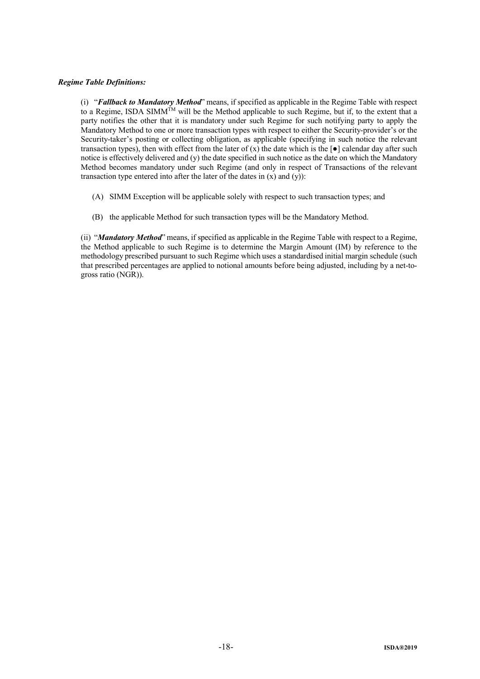# *Regime Table Definitions:*

(i) "*Fallback to Mandatory Method*" means, if specified as applicable in the Regime Table with respect to a Regime, ISDA SIMM<sup>TM</sup> will be the Method applicable to such Regime, but if, to the extent that a party notifies the other that it is mandatory under such Regime for such notifying party to apply the Mandatory Method to one or more transaction types with respect to either the Security-provider's or the Security-taker's posting or collecting obligation, as applicable (specifying in such notice the relevant transaction types), then with effect from the later of  $(x)$  the date which is the  $\lceil \bullet \rceil$  calendar day after such notice is effectively delivered and (y) the date specified in such notice as the date on which the Mandatory Method becomes mandatory under such Regime (and only in respect of Transactions of the relevant transaction type entered into after the later of the dates in  $(x)$  and  $(y)$ :

- (A) SIMM Exception will be applicable solely with respect to such transaction types; and
- (B) the applicable Method for such transaction types will be the Mandatory Method.

(ii) "*Mandatory Method*" means, if specified as applicable in the Regime Table with respect to a Regime, the Method applicable to such Regime is to determine the Margin Amount (IM) by reference to the methodology prescribed pursuant to such Regime which uses a standardised initial margin schedule (such that prescribed percentages are applied to notional amounts before being adjusted, including by a net-togross ratio (NGR)).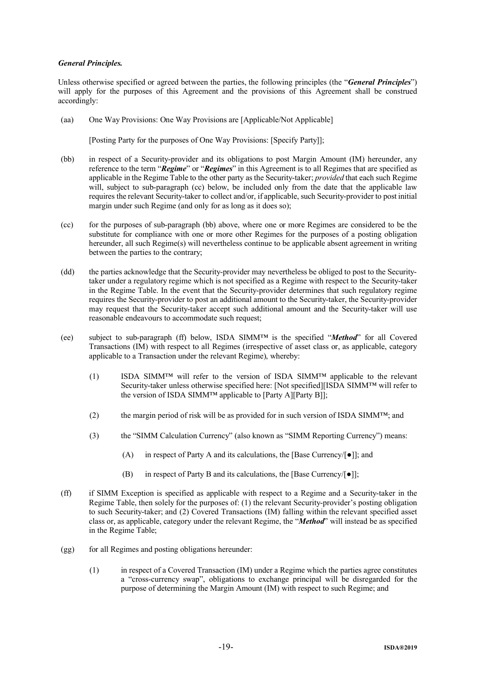## *General Principles.*

Unless otherwise specified or agreed between the parties, the following principles (the "*General Principles*") will apply for the purposes of this Agreement and the provisions of this Agreement shall be construed accordingly:

(aa) One Way Provisions: One Way Provisions are [Applicable/Not Applicable]

[Posting Party for the purposes of One Way Provisions: [Specify Party]];

- (bb) in respect of a Security-provider and its obligations to post Margin Amount (IM) hereunder, any reference to the term "*Regime*" or "*Regimes*" in this Agreement is to all Regimes that are specified as applicable in the Regime Table to the other party as the Security-taker; *provided* that each such Regime will, subject to sub-paragraph (cc) below, be included only from the date that the applicable law requires the relevant Security-taker to collect and/or, if applicable, such Security-provider to post initial margin under such Regime (and only for as long as it does so);
- (cc) for the purposes of sub-paragraph (bb) above, where one or more Regimes are considered to be the substitute for compliance with one or more other Regimes for the purposes of a posting obligation hereunder, all such Regime(s) will nevertheless continue to be applicable absent agreement in writing between the parties to the contrary;
- (dd) the parties acknowledge that the Security-provider may nevertheless be obliged to post to the Securitytaker under a regulatory regime which is not specified as a Regime with respect to the Security-taker in the Regime Table. In the event that the Security-provider determines that such regulatory regime requires the Security-provider to post an additional amount to the Security-taker, the Security-provider may request that the Security-taker accept such additional amount and the Security-taker will use reasonable endeavours to accommodate such request;
- (ee) subject to sub-paragraph (ff) below, ISDA SIMM™ is the specified "*Method*" for all Covered Transactions (IM) with respect to all Regimes (irrespective of asset class or, as applicable, category applicable to a Transaction under the relevant Regime), whereby:
	- (1) ISDA SIMM™ will refer to the version of ISDA SIMM™ applicable to the relevant Security-taker unless otherwise specified here: [Not specified][ISDA SIMM™ will refer to the version of ISDA SIMM™ applicable to [Party A][Party B]];
	- (2) the margin period of risk will be as provided for in such version of ISDA SIMM<sup>™</sup>; and
	- (3) the "SIMM Calculation Currency" (also known as "SIMM Reporting Currency") means:
		- (A) in respect of Party A and its calculations, the [Base Currency/[●]]; and
		- (B) in respect of Party B and its calculations, the [Base Currency/[●]];
- (ff) if SIMM Exception is specified as applicable with respect to a Regime and a Security-taker in the Regime Table, then solely for the purposes of: (1) the relevant Security-provider's posting obligation to such Security-taker; and (2) Covered Transactions (IM) falling within the relevant specified asset class or, as applicable, category under the relevant Regime, the "*Method*" will instead be as specified in the Regime Table;
- (gg) for all Regimes and posting obligations hereunder:
	- (1) in respect of a Covered Transaction (IM) under a Regime which the parties agree constitutes a "cross-currency swap", obligations to exchange principal will be disregarded for the purpose of determining the Margin Amount (IM) with respect to such Regime; and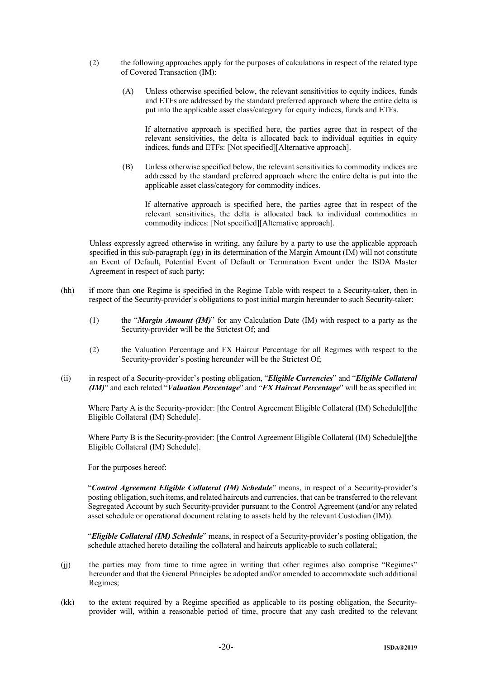- (2) the following approaches apply for the purposes of calculations in respect of the related type of Covered Transaction (IM):
	- (A) Unless otherwise specified below, the relevant sensitivities to equity indices, funds and ETFs are addressed by the standard preferred approach where the entire delta is put into the applicable asset class/category for equity indices, funds and ETFs.

If alternative approach is specified here, the parties agree that in respect of the relevant sensitivities, the delta is allocated back to individual equities in equity indices, funds and ETFs: [Not specified][Alternative approach].

(B) Unless otherwise specified below, the relevant sensitivities to commodity indices are addressed by the standard preferred approach where the entire delta is put into the applicable asset class/category for commodity indices.

If alternative approach is specified here, the parties agree that in respect of the relevant sensitivities, the delta is allocated back to individual commodities in commodity indices: [Not specified][Alternative approach].

Unless expressly agreed otherwise in writing, any failure by a party to use the applicable approach specified in this sub-paragraph (gg) in its determination of the Margin Amount (IM) will not constitute an Event of Default, Potential Event of Default or Termination Event under the ISDA Master Agreement in respect of such party;

- (hh) if more than one Regime is specified in the Regime Table with respect to a Security-taker, then in respect of the Security-provider's obligations to post initial margin hereunder to such Security-taker:
	- (1) the "*Margin Amount (IM)*" for any Calculation Date (IM) with respect to a party as the Security-provider will be the Strictest Of; and
	- (2) the Valuation Percentage and FX Haircut Percentage for all Regimes with respect to the Security-provider's posting hereunder will be the Strictest Of;
- (ii) in respect of a Security-provider's posting obligation, "*Eligible Currencies*" and "*Eligible Collateral (IM)*" and each related "*Valuation Percentage*" and "*FX Haircut Percentage*" will be as specified in:

Where Party A is the Security-provider: [the Control Agreement Eligible Collateral (IM) Schedule][the Eligible Collateral (IM) Schedule].

Where Party B is the Security-provider: [the Control Agreement Eligible Collateral (IM) Schedule][the Eligible Collateral (IM) Schedule].

For the purposes hereof:

"*Control Agreement Eligible Collateral (IM) Schedule*" means, in respect of a Security-provider's posting obligation, such items, and related haircuts and currencies, that can be transferred to the relevant Segregated Account by such Security-provider pursuant to the Control Agreement (and/or any related asset schedule or operational document relating to assets held by the relevant Custodian (IM)).

"*Eligible Collateral (IM) Schedule*" means, in respect of a Security-provider's posting obligation, the schedule attached hereto detailing the collateral and haircuts applicable to such collateral;

- (jj) the parties may from time to time agree in writing that other regimes also comprise "Regimes" hereunder and that the General Principles be adopted and/or amended to accommodate such additional Regimes;
- (kk) to the extent required by a Regime specified as applicable to its posting obligation, the Securityprovider will, within a reasonable period of time, procure that any cash credited to the relevant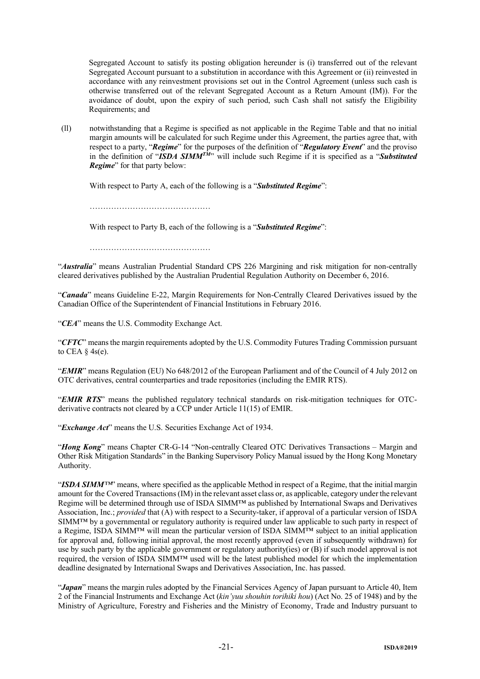Segregated Account to satisfy its posting obligation hereunder is (i) transferred out of the relevant Segregated Account pursuant to a substitution in accordance with this Agreement or (ii) reinvested in accordance with any reinvestment provisions set out in the Control Agreement (unless such cash is otherwise transferred out of the relevant Segregated Account as a Return Amount (IM)). For the avoidance of doubt, upon the expiry of such period, such Cash shall not satisfy the Eligibility Requirements; and

(ll) notwithstanding that a Regime is specified as not applicable in the Regime Table and that no initial margin amounts will be calculated for such Regime under this Agreement, the parties agree that, with respect to a party, "*Regime*" for the purposes of the definition of "*Regulatory Event*" and the proviso in the definition of "*ISDA SIMMTM*" will include such Regime if it is specified as a "*Substituted Regime*" for that party below:

With respect to Party A, each of the following is a "*Substituted Regime*":

……………………………………………

With respect to Party B, each of the following is a "*Substituted Regime*":

………………………………………

"*Australia*" means Australian Prudential Standard CPS 226 Margining and risk mitigation for non-centrally cleared derivatives published by the Australian Prudential Regulation Authority on December 6, 2016.

"*Canada*" means Guideline E-22, Margin Requirements for Non-Centrally Cleared Derivatives issued by the Canadian Office of the Superintendent of Financial Institutions in February 2016.

"*CEA*" means the U.S. Commodity Exchange Act.

"*CFTC*" means the margin requirements adopted by the U.S. Commodity Futures Trading Commission pursuant to CEA  $\S$  4s(e).

"*EMIR*" means Regulation (EU) No 648/2012 of the European Parliament and of the Council of 4 July 2012 on OTC derivatives, central counterparties and trade repositories (including the EMIR RTS).

"*EMIR RTS*" means the published regulatory technical standards on risk-mitigation techniques for OTCderivative contracts not cleared by a CCP under Article 11(15) of EMIR.

"*Exchange Act*" means the U.S. Securities Exchange Act of 1934.

"*Hong Kong*" means Chapter CR-G-14 "Non-centrally Cleared OTC Derivatives Transactions – Margin and Other Risk Mitigation Standards" in the Banking Supervisory Policy Manual issued by the Hong Kong Monetary Authority.

"*ISDA SIMM™*" means, where specified as the applicable Method in respect of a Regime, that the initial margin amount for the Covered Transactions(IM) in the relevant asset class or, as applicable, category under the relevant Regime will be determined through use of ISDA SIMM™ as published by International Swaps and Derivatives Association, Inc.; *provided* that (A) with respect to a Security-taker, if approval of a particular version of ISDA SIMM™ by a governmental or regulatory authority is required under law applicable to such party in respect of a Regime, ISDA SIMM™ will mean the particular version of ISDA SIMM™ subject to an initial application for approval and, following initial approval, the most recently approved (even if subsequently withdrawn) for use by such party by the applicable government or regulatory authority(ies) or (B) if such model approval is not required, the version of ISDA SIMM™ used will be the latest published model for which the implementation deadline designated by International Swaps and Derivatives Association, Inc. has passed.

"*Japan*" means the margin rules adopted by the Financial Services Agency of Japan pursuant to Article 40, Item 2 of the Financial Instruments and Exchange Act (*kin'yuu shouhin torihiki hou*) (Act No. 25 of 1948) and by the Ministry of Agriculture, Forestry and Fisheries and the Ministry of Economy, Trade and Industry pursuant to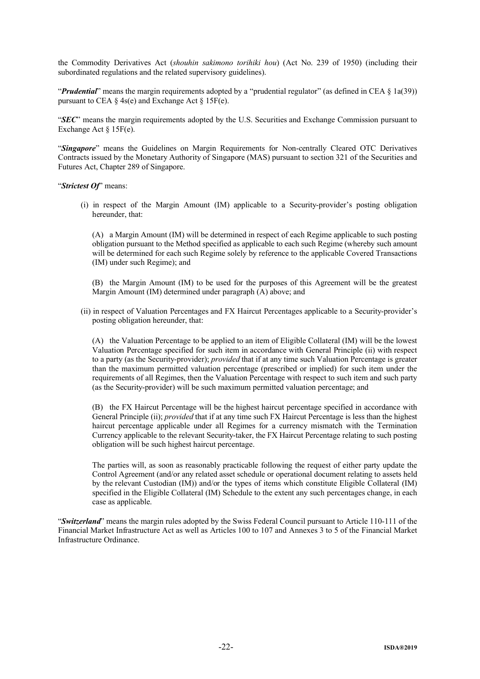the Commodity Derivatives Act (*shouhin sakimono torihiki hou*) (Act No. 239 of 1950) (including their subordinated regulations and the related supervisory guidelines).

"*Prudential*" means the margin requirements adopted by a "prudential regulator" (as defined in CEA § 1a(39)) pursuant to CEA § 4s(e) and Exchange Act § 15F(e).

"*SEC*" means the margin requirements adopted by the U.S. Securities and Exchange Commission pursuant to Exchange Act § 15F(e).

"*Singapore*" means the Guidelines on Margin Requirements for Non-centrally Cleared OTC Derivatives Contracts issued by the Monetary Authority of Singapore (MAS) pursuant to section 321 of the Securities and Futures Act, Chapter 289 of Singapore.

"*Strictest Of*" means:

(i) in respect of the Margin Amount (IM) applicable to a Security-provider's posting obligation hereunder, that:

(A) a Margin Amount (IM) will be determined in respect of each Regime applicable to such posting obligation pursuant to the Method specified as applicable to each such Regime (whereby such amount will be determined for each such Regime solely by reference to the applicable Covered Transactions (IM) under such Regime); and

(B) the Margin Amount (IM) to be used for the purposes of this Agreement will be the greatest Margin Amount (IM) determined under paragraph (A) above; and

(ii) in respect of Valuation Percentages and FX Haircut Percentages applicable to a Security-provider's posting obligation hereunder, that:

(A) the Valuation Percentage to be applied to an item of Eligible Collateral (IM) will be the lowest Valuation Percentage specified for such item in accordance with General Principle (ii) with respect to a party (as the Security-provider); *provided* that if at any time such Valuation Percentage is greater than the maximum permitted valuation percentage (prescribed or implied) for such item under the requirements of all Regimes, then the Valuation Percentage with respect to such item and such party (as the Security-provider) will be such maximum permitted valuation percentage; and

(B) the FX Haircut Percentage will be the highest haircut percentage specified in accordance with General Principle (ii); *provided* that if at any time such FX Haircut Percentage is less than the highest haircut percentage applicable under all Regimes for a currency mismatch with the Termination Currency applicable to the relevant Security-taker, the FX Haircut Percentage relating to such posting obligation will be such highest haircut percentage.

The parties will, as soon as reasonably practicable following the request of either party update the Control Agreement (and/or any related asset schedule or operational document relating to assets held by the relevant Custodian (IM)) and/or the types of items which constitute Eligible Collateral (IM) specified in the Eligible Collateral (IM) Schedule to the extent any such percentages change, in each case as applicable.

"*Switzerland*" means the margin rules adopted by the Swiss Federal Council pursuant to Article 110-111 of the Financial Market Infrastructure Act as well as Articles 100 to 107 and Annexes 3 to 5 of the Financial Market Infrastructure Ordinance.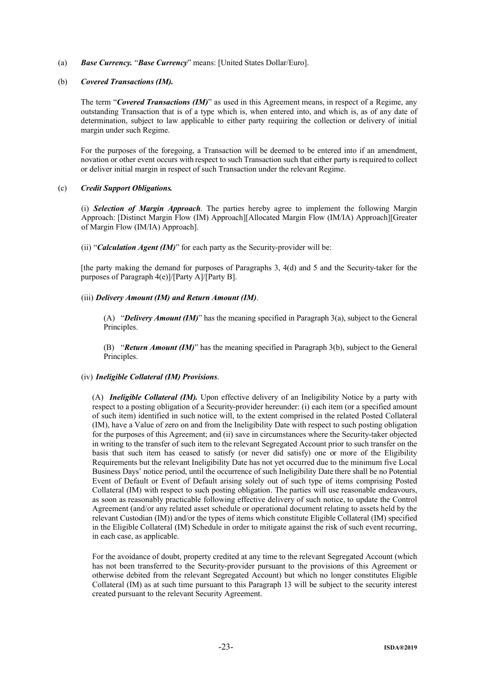(a) *Base Currency.* "*Base Currency*" means: [United States Dollar/Euro].

## (b) *Covered Transactions (IM).*

The term "*Covered Transactions (IM)*" as used in this Agreement means, in respect of a Regime, any outstanding Transaction that is of a type which is, when entered into, and which is, as of any date of determination, subject to law applicable to either party requiring the collection or delivery of initial margin under such Regime.

For the purposes of the foregoing, a Transaction will be deemed to be entered into if an amendment, novation or other event occurs with respect to such Transaction such that either party is required to collect or deliver initial margin in respect of such Transaction under the relevant Regime.

## (c) *Credit Support Obligations.*

(i) *Selection of Margin Approach*. The parties hereby agree to implement the following Margin Approach: [Distinct Margin Flow (IM) Approach][Allocated Margin Flow (IM/IA) Approach][Greater of Margin Flow (IM/IA) Approach].

(ii) "*Calculation Agent (IM)*" for each party as the Security-provider will be:

[the party making the demand for purposes of Paragraphs 3, 4(d) and 5 and the Security-taker for the purposes of Paragraph 4(e)]/[Party A]/[Party B].

## (iii) *Delivery Amount (IM) and Return Amount (IM)*.

(A) "*Delivery Amount (IM)*" has the meaning specified in Paragraph 3(a), subject to the General Principles.

(B) "*Return Amount (IM)*" has the meaning specified in Paragraph 3(b), subject to the General Principles.

## (iv) *Ineligible Collateral (IM) Provisions*.

(A) *Ineligible Collateral (IM).* Upon effective delivery of an Ineligibility Notice by a party with respect to a posting obligation of a Security-provider hereunder: (i) each item (or a specified amount of such item) identified in such notice will, to the extent comprised in the related Posted Collateral (IM), have a Value of zero on and from the Ineligibility Date with respect to such posting obligation for the purposes of this Agreement; and (ii) save in circumstances where the Security-taker objected in writing to the transfer of such item to the relevant Segregated Account prior to such transfer on the basis that such item has ceased to satisfy (or never did satisfy) one or more of the Eligibility Requirements but the relevant Ineligibility Date has not yet occurred due to the minimum five Local Business Days' notice period, until the occurrence of such Ineligibility Date there shall be no Potential Event of Default or Event of Default arising solely out of such type of items comprising Posted Collateral (IM) with respect to such posting obligation. The parties will use reasonable endeavours, as soon as reasonably practicable following effective delivery of such notice, to update the Control Agreement (and/or any related asset schedule or operational document relating to assets held by the relevant Custodian (IM)) and/or the types of items which constitute Eligible Collateral (IM) specified in the Eligible Collateral (IM) Schedule in order to mitigate against the risk of such event recurring, in each case, as applicable.

For the avoidance of doubt, property credited at any time to the relevant Segregated Account (which has not been transferred to the Security-provider pursuant to the provisions of this Agreement or otherwise debited from the relevant Segregated Account) but which no longer constitutes Eligible Collateral (IM) as at such time pursuant to this Paragraph 13 will be subject to the security interest created pursuant to the relevant Security Agreement.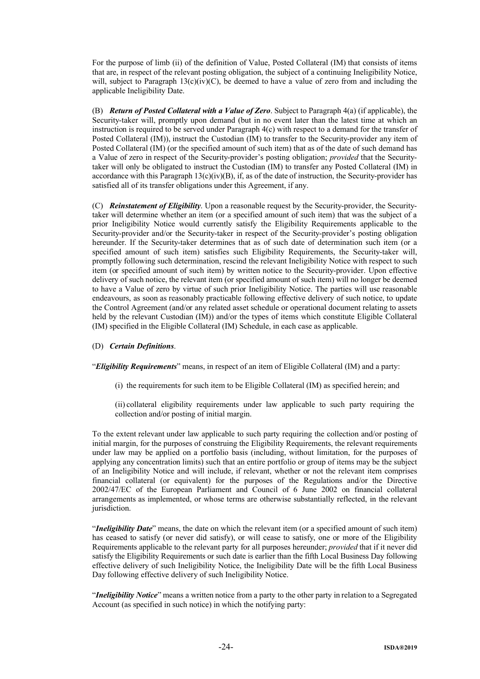For the purpose of limb (ii) of the definition of Value, Posted Collateral (IM) that consists of items that are, in respect of the relevant posting obligation, the subject of a continuing Ineligibility Notice, will, subject to Paragraph  $13(c)(iv)(C)$ , be deemed to have a value of zero from and including the applicable Ineligibility Date.

(B) *Return of Posted Collateral with a Value of Zero*. Subject to Paragraph 4(a) (if applicable), the Security-taker will, promptly upon demand (but in no event later than the latest time at which an instruction is required to be served under Paragraph 4(c) with respect to a demand for the transfer of Posted Collateral (IM)), instruct the Custodian (IM) to transfer to the Security-provider any item of Posted Collateral (IM) (or the specified amount of such item) that as of the date of such demand has a Value of zero in respect of the Security-provider's posting obligation; *provided* that the Securitytaker will only be obligated to instruct the Custodian (IM) to transfer any Posted Collateral (IM) in accordance with this Paragraph  $13(c)(iv)(B)$ , if, as of the date of instruction, the Security-provider has satisfied all of its transfer obligations under this Agreement, if any.

(C) *Reinstatement of Eligibility*. Upon a reasonable request by the Security-provider, the Securitytaker will determine whether an item (or a specified amount of such item) that was the subject of a prior Ineligibility Notice would currently satisfy the Eligibility Requirements applicable to the Security-provider and/or the Security-taker in respect of the Security-provider's posting obligation hereunder. If the Security-taker determines that as of such date of determination such item (or a specified amount of such item) satisfies such Eligibility Requirements, the Security-taker will, promptly following such determination, rescind the relevant Ineligibility Notice with respect to such item (or specified amount of such item) by written notice to the Security-provider. Upon effective delivery of such notice, the relevant item (or specified amount of such item) will no longer be deemed to have a Value of zero by virtue of such prior Ineligibility Notice. The parties will use reasonable endeavours, as soon as reasonably practicable following effective delivery of such notice, to update the Control Agreement (and/or any related asset schedule or operational document relating to assets held by the relevant Custodian (IM)) and/or the types of items which constitute Eligible Collateral (IM) specified in the Eligible Collateral (IM) Schedule, in each case as applicable.

## (D) *Certain Definitions*.

"*Eligibility Requirements*" means, in respect of an item of Eligible Collateral (IM) and a party:

(i) the requirements for such item to be Eligible Collateral (IM) as specified herein; and

(ii) collateral eligibility requirements under law applicable to such party requiring the collection and/or posting of initial margin.

To the extent relevant under law applicable to such party requiring the collection and/or posting of initial margin, for the purposes of construing the Eligibility Requirements, the relevant requirements under law may be applied on a portfolio basis (including, without limitation, for the purposes of applying any concentration limits) such that an entire portfolio or group of items may be the subject of an Ineligibility Notice and will include, if relevant, whether or not the relevant item comprises financial collateral (or equivalent) for the purposes of the Regulations and/or the Directive 2002/47/EC of the European Parliament and Council of 6 June 2002 on financial collateral arrangements as implemented, or whose terms are otherwise substantially reflected, in the relevant jurisdiction.

"*Ineligibility Date*" means, the date on which the relevant item (or a specified amount of such item) has ceased to satisfy (or never did satisfy), or will cease to satisfy, one or more of the Eligibility Requirements applicable to the relevant party for all purposes hereunder; *provided* that if it never did satisfy the Eligibility Requirements or such date is earlier than the fifth Local Business Day following effective delivery of such Ineligibility Notice, the Ineligibility Date will be the fifth Local Business Day following effective delivery of such Ineligibility Notice.

"*Ineligibility Notice*" means a written notice from a party to the other party in relation to a Segregated Account (as specified in such notice) in which the notifying party: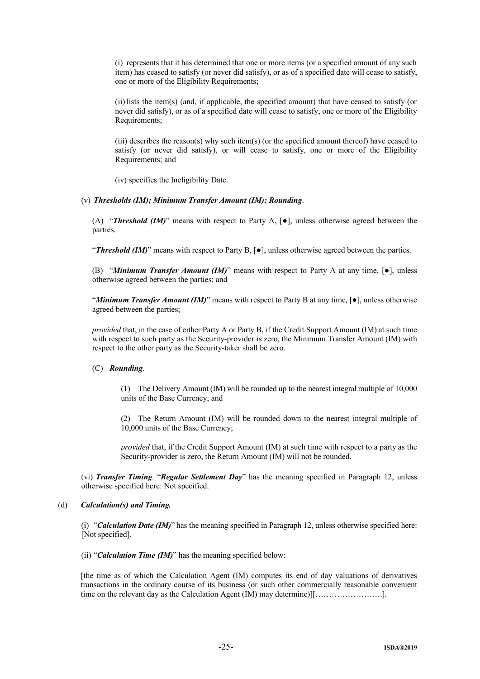(i) represents that it has determined that one or more items (or a specified amount of any such item) has ceased to satisfy (or never did satisfy), or as of a specified date will cease to satisfy, one or more of the Eligibility Requirements;

(ii) lists the item(s) (and, if applicable, the specified amount) that have ceased to satisfy (or never did satisfy), or as of a specified date will cease to satisfy, one or more of the Eligibility Requirements;

(iii) describes the reason(s) why such item(s) (or the specified amount thereof) have ceased to satisfy (or never did satisfy), or will cease to satisfy, one or more of the Eligibility Requirements; and

(iv) specifies the Ineligibility Date.

#### (v) *Thresholds (IM); Minimum Transfer Amount (IM); Rounding*.

(A) "*Threshold (IM)*" means with respect to Party A, [●], unless otherwise agreed between the parties.

"*Threshold (IM)*" means with respect to Party B, [●], unless otherwise agreed between the parties.

(B) "*Minimum Transfer Amount (IM)*" means with respect to Party A at any time, [●], unless otherwise agreed between the parties; and

"*Minimum Transfer Amount (IM)*" means with respect to Party B at any time, [●], unless otherwise agreed between the parties;

*provided* that, in the case of either Party A or Party B, if the Credit Support Amount (IM) at such time with respect to such party as the Security-provider is zero, the Minimum Transfer Amount (IM) with respect to the other party as the Security-taker shall be zero.

## (C) *Rounding*.

(1) The Delivery Amount (IM) will be rounded up to the nearest integral multiple of 10,000 units of the Base Currency; and

(2) The Return Amount (IM) will be rounded down to the nearest integral multiple of 10,000 units of the Base Currency;

*provided* that, if the Credit Support Amount (IM) at such time with respect to a party as the Security-provider is zero, the Return Amount (IM) will not be rounded.

(vi) *Transfer Timing*. "*Regular Settlement Day*" has the meaning specified in Paragraph 12, unless otherwise specified here: Not specified.

#### (d) *Calculation(s) and Timing.*

(i) "*Calculation Date (IM)*" has the meaning specified in Paragraph 12, unless otherwise specified here: [Not specified].

(ii) "*Calculation Time (IM)*" has the meaning specified below:

[the time as of which the Calculation Agent (IM) computes its end of day valuations of derivatives transactions in the ordinary course of its business (or such other commercially reasonable convenient time on the relevant day as the Calculation Agent (IM) may determine)][…………………….].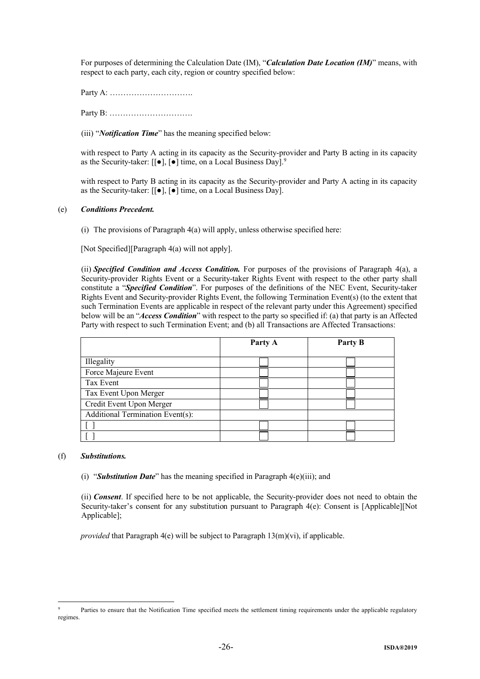For purposes of determining the Calculation Date (IM), "*Calculation Date Location (IM)*" means, with respect to each party, each city, region or country specified below:

Party A: ………………………….

Party B: ………………………….

(iii) "*Notification Time*" has the meaning specified below:

with respect to Party A acting in its capacity as the Security-provider and Party B acting in its capacity as the Security-taker:  $[[\bullet]$ ,  $[\bullet]$  time, on a Local Business Day].<sup>9</sup>

with respect to Party B acting in its capacity as the Security-provider and Party A acting in its capacity as the Security-taker: [[●], [●] time, on a Local Business Day].

# (e) *Conditions Precedent.*

(i) The provisions of Paragraph 4(a) will apply, unless otherwise specified here:

[Not Specified][Paragraph 4(a) will not apply].

(ii) *Specified Condition and Access Condition.* For purposes of the provisions of Paragraph 4(a), a Security-provider Rights Event or a Security-taker Rights Event with respect to the other party shall constitute a "*Specified Condition*". For purposes of the definitions of the NEC Event, Security-taker Rights Event and Security-provider Rights Event, the following Termination Event(s) (to the extent that such Termination Events are applicable in respect of the relevant party under this Agreement) specified below will be an "*Access Condition*" with respect to the party so specified if: (a) that party is an Affected Party with respect to such Termination Event; and (b) all Transactions are Affected Transactions:

|                                  | Party A | Party B |  |
|----------------------------------|---------|---------|--|
| Illegality                       |         |         |  |
| Force Majeure Event              |         |         |  |
| Tax Event                        |         |         |  |
| Tax Event Upon Merger            |         |         |  |
| Credit Event Upon Merger         |         |         |  |
| Additional Termination Event(s): |         |         |  |
|                                  |         |         |  |
|                                  |         |         |  |

## (f) *Substitutions.*

1

(i) "*Substitution Date*" has the meaning specified in Paragraph 4(e)(iii); and

(ii) *Consent*. If specified here to be not applicable, the Security-provider does not need to obtain the Security-taker's consent for any substitution pursuant to Paragraph 4(e): Consent is [Applicable][Not Applicable];

*provided* that Paragraph 4(e) will be subject to Paragraph 13(m)(vi), if applicable.

Parties to ensure that the Notification Time specified meets the settlement timing requirements under the applicable regulatory regimes.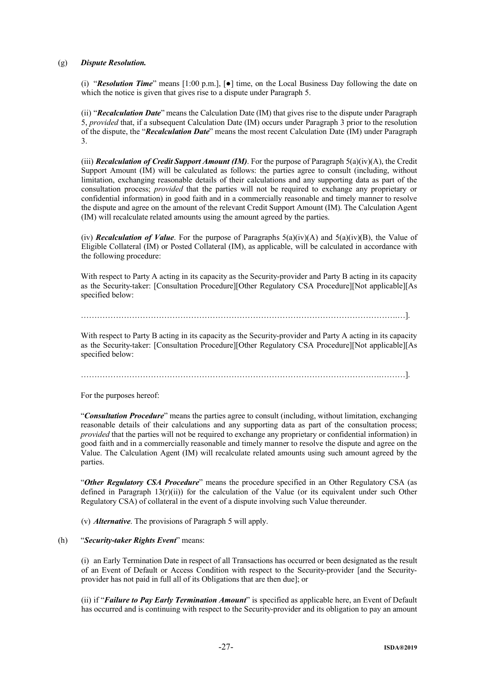## (g) *Dispute Resolution.*

(i) "*Resolution Time*" means [1:00 p.m.], [●] time, on the Local Business Day following the date on which the notice is given that gives rise to a dispute under Paragraph 5.

(ii) "*Recalculation Date*" means the Calculation Date (IM) that gives rise to the dispute under Paragraph 5, *provided* that, if a subsequent Calculation Date (IM) occurs under Paragraph 3 prior to the resolution of the dispute, the "*Recalculation Date*" means the most recent Calculation Date (IM) under Paragraph 3.

(iii) *Recalculation of Credit Support Amount (IM)*. For the purpose of Paragraph 5(a)(iv)(A), the Credit Support Amount (IM) will be calculated as follows: the parties agree to consult (including, without limitation, exchanging reasonable details of their calculations and any supporting data as part of the consultation process; *provided* that the parties will not be required to exchange any proprietary or confidential information) in good faith and in a commercially reasonable and timely manner to resolve the dispute and agree on the amount of the relevant Credit Support Amount (IM). The Calculation Agent (IM) will recalculate related amounts using the amount agreed by the parties.

(iv) *Recalculation of Value*. For the purpose of Paragraphs 5(a)(iv)(A) and 5(a)(iv)(B), the Value of Eligible Collateral (IM) or Posted Collateral (IM), as applicable, will be calculated in accordance with the following procedure:

With respect to Party A acting in its capacity as the Security-provider and Party B acting in its capacity as the Security-taker: [Consultation Procedure][Other Regulatory CSA Procedure][Not applicable][As specified below:

……………………………………………………………………………………………………….…].

With respect to Party B acting in its capacity as the Security-provider and Party A acting in its capacity as the Security-taker: [Consultation Procedure][Other Regulatory CSA Procedure][Not applicable][As specified below:

………………………………………………………………………………………………….………].

For the purposes hereof:

"*Consultation Procedure*" means the parties agree to consult (including, without limitation, exchanging reasonable details of their calculations and any supporting data as part of the consultation process; *provided* that the parties will not be required to exchange any proprietary or confidential information) in good faith and in a commercially reasonable and timely manner to resolve the dispute and agree on the Value. The Calculation Agent (IM) will recalculate related amounts using such amount agreed by the parties.

"*Other Regulatory CSA Procedure*" means the procedure specified in an Other Regulatory CSA (as defined in Paragraph  $13(r)(ii)$ ) for the calculation of the Value (or its equivalent under such Other Regulatory CSA) of collateral in the event of a dispute involving such Value thereunder.

(v) *Alternative*. The provisions of Paragraph 5 will apply.

#### (h) "*Security-taker Rights Event*" means:

(i) an Early Termination Date in respect of all Transactions has occurred or been designated as the result of an Event of Default or Access Condition with respect to the Security-provider [and the Securityprovider has not paid in full all of its Obligations that are then due]; or

(ii) if "*Failure to Pay Early Termination Amount*" is specified as applicable here, an Event of Default has occurred and is continuing with respect to the Security-provider and its obligation to pay an amount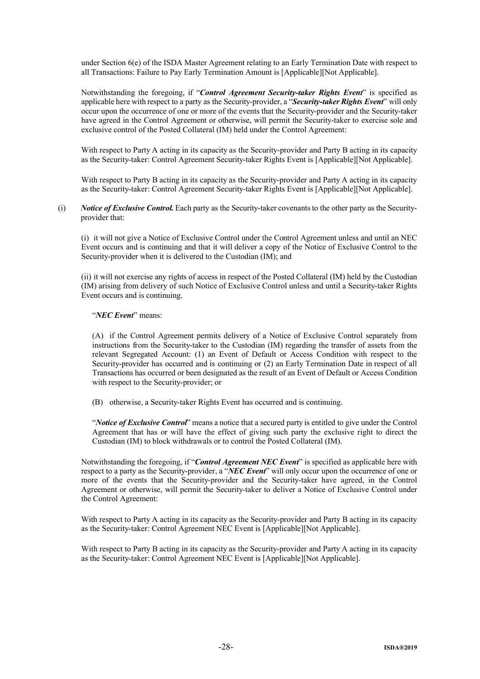under Section 6(e) of the ISDA Master Agreement relating to an Early Termination Date with respect to all Transactions: Failure to Pay Early Termination Amount is [Applicable][Not Applicable].

Notwithstanding the foregoing, if "*Control Agreement Security-taker Rights Event*" is specified as applicable here with respect to a party as the Security-provider, a "*Security-taker Rights Event*" will only occur upon the occurrence of one or more of the events that the Security-provider and the Security-taker have agreed in the Control Agreement or otherwise, will permit the Security-taker to exercise sole and exclusive control of the Posted Collateral (IM) held under the Control Agreement:

With respect to Party A acting in its capacity as the Security-provider and Party B acting in its capacity as the Security-taker: Control Agreement Security-taker Rights Event is [Applicable][Not Applicable].

With respect to Party B acting in its capacity as the Security-provider and Party A acting in its capacity as the Security-taker: Control Agreement Security-taker Rights Event is [Applicable][Not Applicable].

(i) *Notice of Exclusive Control.* Each party as the Security-taker covenants to the other party as the Securityprovider that:

(i) it will not give a Notice of Exclusive Control under the Control Agreement unless and until an NEC Event occurs and is continuing and that it will deliver a copy of the Notice of Exclusive Control to the Security-provider when it is delivered to the Custodian (IM); and

(ii) it will not exercise any rights of access in respect of the Posted Collateral (IM) held by the Custodian (IM) arising from delivery of such Notice of Exclusive Control unless and until a Security-taker Rights Event occurs and is continuing.

"*NEC Event*" means:

(A) if the Control Agreement permits delivery of a Notice of Exclusive Control separately from instructions from the Security-taker to the Custodian (IM) regarding the transfer of assets from the relevant Segregated Account: (1) an Event of Default or Access Condition with respect to the Security-provider has occurred and is continuing or (2) an Early Termination Date in respect of all Transactions has occurred or been designated as the result of an Event of Default or Access Condition with respect to the Security-provider; or

(B) otherwise, a Security-taker Rights Event has occurred and is continuing.

"*Notice of Exclusive Control*" means a notice that a secured party is entitled to give under the Control Agreement that has or will have the effect of giving such party the exclusive right to direct the Custodian (IM) to block withdrawals or to control the Posted Collateral (IM).

Notwithstanding the foregoing, if "*Control Agreement NEC Event*" is specified as applicable here with respect to a party as the Security-provider, a "*NEC Event*" will only occur upon the occurrence of one or more of the events that the Security-provider and the Security-taker have agreed, in the Control Agreement or otherwise, will permit the Security-taker to deliver a Notice of Exclusive Control under the Control Agreement:

With respect to Party A acting in its capacity as the Security-provider and Party B acting in its capacity as the Security-taker: Control Agreement NEC Event is [Applicable][Not Applicable].

With respect to Party B acting in its capacity as the Security-provider and Party A acting in its capacity as the Security-taker: Control Agreement NEC Event is [Applicable][Not Applicable].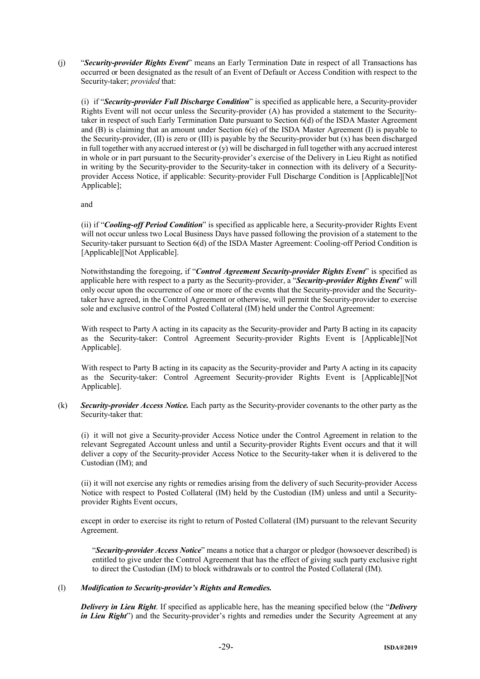(j) "*Security-provider Rights Event*" means an Early Termination Date in respect of all Transactions has occurred or been designated as the result of an Event of Default or Access Condition with respect to the Security-taker; *provided* that:

(i) if "*Security-provider Full Discharge Condition*" is specified as applicable here, a Security-provider Rights Event will not occur unless the Security-provider (A) has provided a statement to the Securitytaker in respect of such Early Termination Date pursuant to Section 6(d) of the ISDA Master Agreement and (B) is claiming that an amount under Section 6(e) of the ISDA Master Agreement (I) is payable to the Security-provider, (II) is zero or (III) is payable by the Security-provider but (x) has been discharged in full together with any accrued interest or (y) will be discharged in full together with any accrued interest in whole or in part pursuant to the Security-provider's exercise of the Delivery in Lieu Right as notified in writing by the Security-provider to the Security-taker in connection with its delivery of a Securityprovider Access Notice, if applicable: Security-provider Full Discharge Condition is [Applicable][Not Applicable];

and

(ii) if "*Cooling-off Period Condition*" is specified as applicable here, a Security-provider Rights Event will not occur unless two Local Business Days have passed following the provision of a statement to the Security-taker pursuant to Section 6(d) of the ISDA Master Agreement: Cooling-off Period Condition is [Applicable][Not Applicable].

Notwithstanding the foregoing, if "*Control Agreement Security-provider Rights Event*" is specified as applicable here with respect to a party as the Security-provider, a "*Security-provider Rights Event*" will only occur upon the occurrence of one or more of the events that the Security-provider and the Securitytaker have agreed, in the Control Agreement or otherwise, will permit the Security-provider to exercise sole and exclusive control of the Posted Collateral (IM) held under the Control Agreement:

With respect to Party A acting in its capacity as the Security-provider and Party B acting in its capacity as the Security-taker: Control Agreement Security-provider Rights Event is [Applicable][Not Applicable].

With respect to Party B acting in its capacity as the Security-provider and Party A acting in its capacity as the Security-taker: Control Agreement Security-provider Rights Event is [Applicable][Not Applicable].

(k) *Security-provider Access Notice.* Each party as the Security-provider covenants to the other party as the Security-taker that:

(i) it will not give a Security-provider Access Notice under the Control Agreement in relation to the relevant Segregated Account unless and until a Security-provider Rights Event occurs and that it will deliver a copy of the Security-provider Access Notice to the Security-taker when it is delivered to the Custodian (IM); and

(ii) it will not exercise any rights or remedies arising from the delivery of such Security-provider Access Notice with respect to Posted Collateral (IM) held by the Custodian (IM) unless and until a Securityprovider Rights Event occurs,

except in order to exercise its right to return of Posted Collateral (IM) pursuant to the relevant Security Agreement.

"*Security-provider Access Notice*" means a notice that a chargor or pledgor (howsoever described) is entitled to give under the Control Agreement that has the effect of giving such party exclusive right to direct the Custodian (IM) to block withdrawals or to control the Posted Collateral (IM).

## (l) *Modification to Security-provider's Rights and Remedies.*

*Delivery in Lieu Right*. If specified as applicable here, has the meaning specified below (the "*Delivery in Lieu Right*") and the Security-provider's rights and remedies under the Security Agreement at any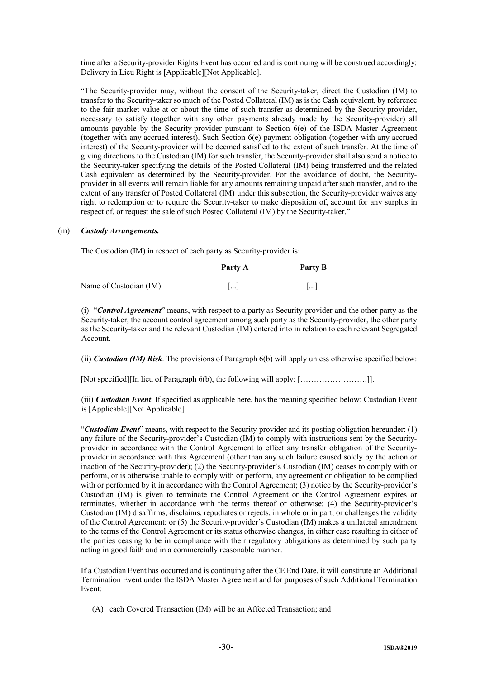time after a Security-provider Rights Event has occurred and is continuing will be construed accordingly: Delivery in Lieu Right is [Applicable][Not Applicable].

"The Security-provider may, without the consent of the Security-taker, direct the Custodian (IM) to transfer to the Security-taker so much of the Posted Collateral (IM) as is the Cash equivalent, by reference to the fair market value at or about the time of such transfer as determined by the Security-provider, necessary to satisfy (together with any other payments already made by the Security-provider) all amounts payable by the Security-provider pursuant to Section 6(e) of the ISDA Master Agreement (together with any accrued interest). Such Section 6(e) payment obligation (together with any accrued interest) of the Security-provider will be deemed satisfied to the extent of such transfer. At the time of giving directions to the Custodian (IM) for such transfer, the Security-provider shall also send a notice to the Security-taker specifying the details of the Posted Collateral (IM) being transferred and the related Cash equivalent as determined by the Security-provider. For the avoidance of doubt, the Securityprovider in all events will remain liable for any amounts remaining unpaid after such transfer, and to the extent of any transfer of Posted Collateral (IM) under this subsection, the Security-provider waives any right to redemption or to require the Security-taker to make disposition of, account for any surplus in respect of, or request the sale of such Posted Collateral (IM) by the Security-taker."

#### (m) *Custody Arrangements.*

The Custodian (IM) in respect of each party as Security-provider is:

|                        | Party A               | Party B               |
|------------------------|-----------------------|-----------------------|
| Name of Custodian (IM) | $\lceil \dots \rceil$ | $\lceil \dots \rceil$ |

(i) "*Control Agreement*" means, with respect to a party as Security-provider and the other party as the Security-taker, the account control agreement among such party as the Security-provider, the other party as the Security-taker and the relevant Custodian (IM) entered into in relation to each relevant Segregated Account.

(ii) *Custodian (IM) Risk*. The provisions of Paragraph 6(b) will apply unless otherwise specified below:

[Not specified][In lieu of Paragraph 6(b), the following will apply: […………………….]].

(iii) *Custodian Event*. If specified as applicable here, has the meaning specified below: Custodian Event is [Applicable][Not Applicable].

"*Custodian Event*" means, with respect to the Security-provider and its posting obligation hereunder: (1) any failure of the Security-provider's Custodian (IM) to comply with instructions sent by the Securityprovider in accordance with the Control Agreement to effect any transfer obligation of the Securityprovider in accordance with this Agreement (other than any such failure caused solely by the action or inaction of the Security-provider); (2) the Security-provider's Custodian (IM) ceases to comply with or perform, or is otherwise unable to comply with or perform, any agreement or obligation to be complied with or performed by it in accordance with the Control Agreement; (3) notice by the Security-provider's Custodian (IM) is given to terminate the Control Agreement or the Control Agreement expires or terminates, whether in accordance with the terms thereof or otherwise; (4) the Security-provider's Custodian (IM) disaffirms, disclaims, repudiates or rejects, in whole or in part, or challenges the validity of the Control Agreement; or (5) the Security-provider's Custodian (IM) makes a unilateral amendment to the terms of the Control Agreement or its status otherwise changes, in either case resulting in either of the parties ceasing to be in compliance with their regulatory obligations as determined by such party acting in good faith and in a commercially reasonable manner.

If a Custodian Event has occurred and is continuing after the CE End Date, it will constitute an Additional Termination Event under the ISDA Master Agreement and for purposes of such Additional Termination Event:

(A) each Covered Transaction (IM) will be an Affected Transaction; and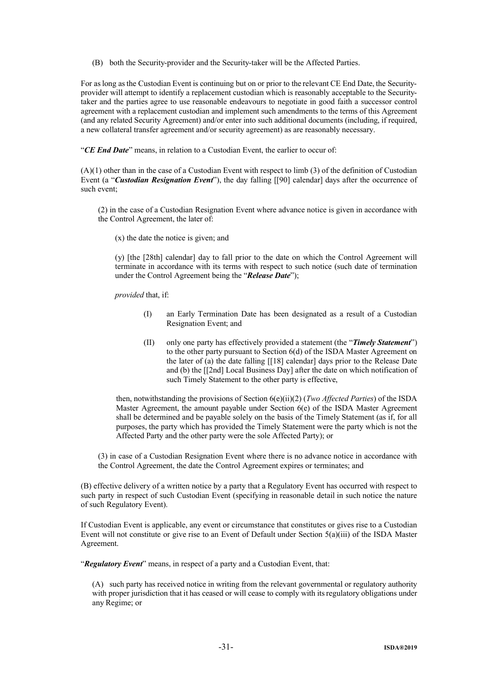(B) both the Security-provider and the Security-taker will be the Affected Parties.

For as long as the Custodian Event is continuing but on or prior to the relevant CE End Date, the Securityprovider will attempt to identify a replacement custodian which is reasonably acceptable to the Securitytaker and the parties agree to use reasonable endeavours to negotiate in good faith a successor control agreement with a replacement custodian and implement such amendments to the terms of this Agreement (and any related Security Agreement) and/or enter into such additional documents (including, if required, a new collateral transfer agreement and/or security agreement) as are reasonably necessary.

"*CE End Date*" means, in relation to a Custodian Event, the earlier to occur of:

(A)(1) other than in the case of a Custodian Event with respect to limb (3) of the definition of Custodian Event (a "*Custodian Resignation Event*"), the day falling [[90] calendar] days after the occurrence of such event;

(2) in the case of a Custodian Resignation Event where advance notice is given in accordance with the Control Agreement, the later of:

(x) the date the notice is given; and

(y) [the [28th] calendar] day to fall prior to the date on which the Control Agreement will terminate in accordance with its terms with respect to such notice (such date of termination under the Control Agreement being the "*Release Date*");

*provided* that, if:

- (I) an Early Termination Date has been designated as a result of a Custodian Resignation Event; and
- (II) only one party has effectively provided a statement (the "*Timely Statement*") to the other party pursuant to Section 6(d) of the ISDA Master Agreement on the later of (a) the date falling [[18] calendar] days prior to the Release Date and (b) the [[2nd] Local Business Day] after the date on which notification of such Timely Statement to the other party is effective,

then, notwithstanding the provisions of Section 6(e)(ii)(2) (*Two Affected Parties*) of the ISDA Master Agreement, the amount payable under Section 6(e) of the ISDA Master Agreement shall be determined and be payable solely on the basis of the Timely Statement (as if, for all purposes, the party which has provided the Timely Statement were the party which is not the Affected Party and the other party were the sole Affected Party); or

(3) in case of a Custodian Resignation Event where there is no advance notice in accordance with the Control Agreement, the date the Control Agreement expires or terminates; and

(B) effective delivery of a written notice by a party that a Regulatory Event has occurred with respect to such party in respect of such Custodian Event (specifying in reasonable detail in such notice the nature of such Regulatory Event).

If Custodian Event is applicable, any event or circumstance that constitutes or gives rise to a Custodian Event will not constitute or give rise to an Event of Default under Section 5(a)(iii) of the ISDA Master Agreement.

"*Regulatory Event*" means, in respect of a party and a Custodian Event, that:

(A) such party has received notice in writing from the relevant governmental or regulatory authority with proper jurisdiction that it has ceased or will cease to comply with its regulatory obligations under any Regime; or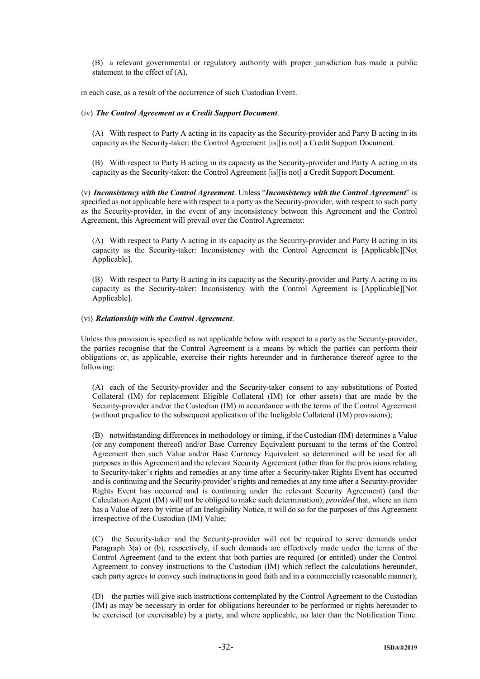(B) a relevant governmental or regulatory authority with proper jurisdiction has made a public statement to the effect of (A),

in each case, as a result of the occurrence of such Custodian Event.

#### (iv) *The Control Agreement as a Credit Support Document*.

(A) With respect to Party A acting in its capacity as the Security-provider and Party B acting in its capacity as the Security-taker: the Control Agreement [is][is not] a Credit Support Document.

(B) With respect to Party B acting in its capacity as the Security-provider and Party A acting in its capacity as the Security-taker: the Control Agreement [is][is not] a Credit Support Document.

(v) *Inconsistency with the Control Agreement*. Unless "*Inconsistency with the Control Agreement*" is specified as not applicable here with respect to a party as the Security-provider, with respect to such party as the Security-provider, in the event of any inconsistency between this Agreement and the Control Agreement, this Agreement will prevail over the Control Agreement:

(A) With respect to Party A acting in its capacity as the Security-provider and Party B acting in its capacity as the Security-taker: Inconsistency with the Control Agreement is [Applicable][Not Applicable].

(B) With respect to Party B acting in its capacity as the Security-provider and Party A acting in its capacity as the Security-taker: Inconsistency with the Control Agreement is [Applicable][Not Applicable].

#### (vi) *Relationship with the Control Agreement*.

Unless this provision is specified as not applicable below with respect to a party as the Security-provider, the parties recognise that the Control Agreement is a means by which the parties can perform their obligations or, as applicable, exercise their rights hereunder and in furtherance thereof agree to the following:

(A) each of the Security-provider and the Security-taker consent to any substitutions of Posted Collateral (IM) for replacement Eligible Collateral (IM) (or other assets) that are made by the Security-provider and/or the Custodian (IM) in accordance with the terms of the Control Agreement (without prejudice to the subsequent application of the Ineligible Collateral (IM) provisions);

(B) notwithstanding differences in methodology or timing, if the Custodian (IM) determines a Value (or any component thereof) and/or Base Currency Equivalent pursuant to the terms of the Control Agreement then such Value and/or Base Currency Equivalent so determined will be used for all purposes in this Agreement and the relevant Security Agreement (other than for the provisions relating to Security-taker's rights and remedies at any time after a Security-taker Rights Event has occurred and is continuing and the Security-provider's rights and remedies at any time after a Security-provider Rights Event has occurred and is continuing under the relevant Security Agreement) (and the Calculation Agent (IM) will not be obliged to make such determination); *provided* that, where an item has a Value of zero by virtue of an Ineligibility Notice, it will do so for the purposes of this Agreement irrespective of the Custodian (IM) Value;

(C) the Security-taker and the Security-provider will not be required to serve demands under Paragraph 3(a) or (b), respectively, if such demands are effectively made under the terms of the Control Agreement (and to the extent that both parties are required (or entitled) under the Control Agreement to convey instructions to the Custodian (IM) which reflect the calculations hereunder, each party agrees to convey such instructions in good faith and in a commercially reasonable manner);

(D) the parties will give such instructions contemplated by the Control Agreement to the Custodian (IM) as may be necessary in order for obligations hereunder to be performed or rights hereunder to be exercised (or exercisable) by a party, and where applicable, no later than the Notification Time.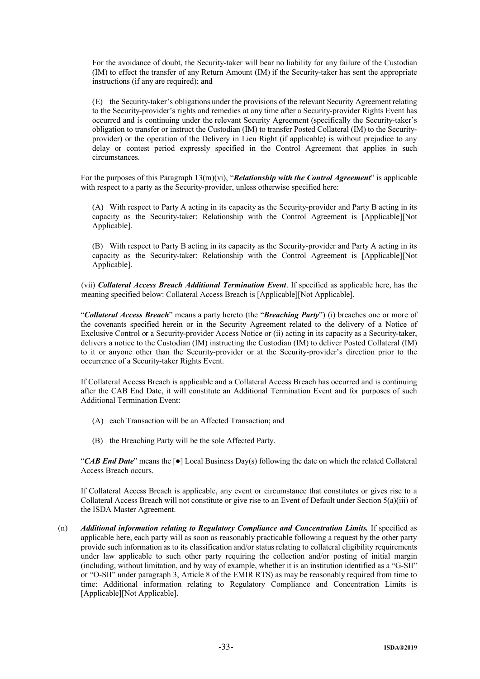For the avoidance of doubt, the Security-taker will bear no liability for any failure of the Custodian (IM) to effect the transfer of any Return Amount (IM) if the Security-taker has sent the appropriate instructions (if any are required); and

(E) the Security-taker's obligations under the provisions of the relevant Security Agreement relating to the Security-provider's rights and remedies at any time after a Security-provider Rights Event has occurred and is continuing under the relevant Security Agreement (specifically the Security-taker's obligation to transfer or instruct the Custodian (IM) to transfer Posted Collateral (IM) to the Securityprovider) or the operation of the Delivery in Lieu Right (if applicable) is without prejudice to any delay or contest period expressly specified in the Control Agreement that applies in such circumstances.

For the purposes of this Paragraph 13(m)(vi), "*Relationship with the Control Agreement*" is applicable with respect to a party as the Security-provider, unless otherwise specified here:

(A) With respect to Party A acting in its capacity as the Security-provider and Party B acting in its capacity as the Security-taker: Relationship with the Control Agreement is [Applicable][Not Applicable].

(B) With respect to Party B acting in its capacity as the Security-provider and Party A acting in its capacity as the Security-taker: Relationship with the Control Agreement is [Applicable][Not Applicable].

(vii) *Collateral Access Breach Additional Termination Event*. If specified as applicable here, has the meaning specified below: Collateral Access Breach is [Applicable][Not Applicable].

"*Collateral Access Breach*" means a party hereto (the "*Breaching Party*") (i) breaches one or more of the covenants specified herein or in the Security Agreement related to the delivery of a Notice of Exclusive Control or a Security-provider Access Notice or (ii) acting in its capacity as a Security-taker, delivers a notice to the Custodian (IM) instructing the Custodian (IM) to deliver Posted Collateral (IM) to it or anyone other than the Security-provider or at the Security-provider's direction prior to the occurrence of a Security-taker Rights Event.

If Collateral Access Breach is applicable and a Collateral Access Breach has occurred and is continuing after the CAB End Date, it will constitute an Additional Termination Event and for purposes of such Additional Termination Event:

- (A) each Transaction will be an Affected Transaction; and
- (B) the Breaching Party will be the sole Affected Party.

"*CAB End Date*" means the [●] Local Business Day(s) following the date on which the related Collateral Access Breach occurs.

If Collateral Access Breach is applicable, any event or circumstance that constitutes or gives rise to a Collateral Access Breach will not constitute or give rise to an Event of Default under Section 5(a)(iii) of the ISDA Master Agreement.

(n) *Additional information relating to Regulatory Compliance and Concentration Limits.* If specified as applicable here, each party will as soon as reasonably practicable following a request by the other party provide such information as to its classification and/or status relating to collateral eligibility requirements under law applicable to such other party requiring the collection and/or posting of initial margin (including, without limitation, and by way of example, whether it is an institution identified as a "G-SII" or "O-SII" under paragraph 3, Article 8 of the EMIR RTS) as may be reasonably required from time to time: Additional information relating to Regulatory Compliance and Concentration Limits is [Applicable][Not Applicable].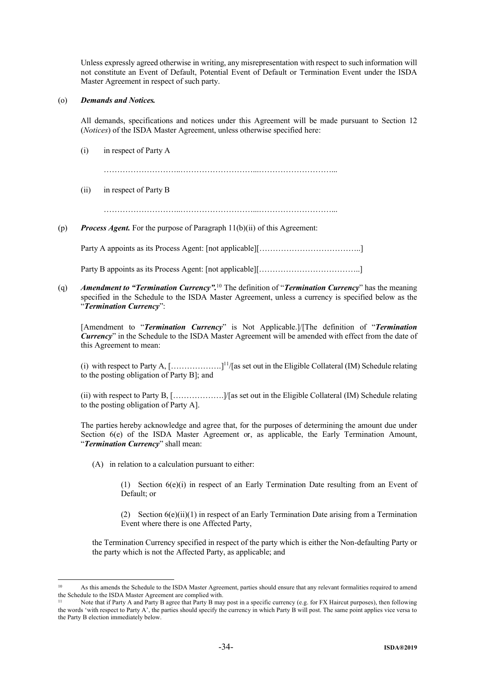Unless expressly agreed otherwise in writing, any misrepresentation with respect to such information will not constitute an Event of Default, Potential Event of Default or Termination Event under the ISDA Master Agreement in respect of such party.

## (o) *Demands and Notices.*

All demands, specifications and notices under this Agreement will be made pursuant to Section 12 (*Notices*) of the ISDA Master Agreement, unless otherwise specified here:

(i) in respect of Party A

………………………..………………………...………………………...

- (ii) in respect of Party B
	- ………………………..………………………...………………………...
- (p) *Process Agent.* For the purpose of Paragraph 11(b)(ii) of this Agreement:

Party A appoints as its Process Agent: [not applicable][………………………………..]

Party B appoints as its Process Agent: [not applicable][………………………………..]

(q) *Amendment to "Termination Currency".*<sup>10</sup> The definition of "*Termination Currency*" has the meaning specified in the Schedule to the ISDA Master Agreement, unless a currency is specified below as the "*Termination Currency*":

[Amendment to "*Termination Currency*" is Not Applicable.]/[The definition of "*Termination Currency*" in the Schedule to the ISDA Master Agreement will be amended with effect from the date of this Agreement to mean:

(i) with respect to Party A,  $[\dots, \dots, \dots, ]^{11}/[\text{as set out in the Elizabeth Collateral (IM) Schedule relating}]$ to the posting obligation of Party B]; and

(ii) with respect to Party B, [……………….]/[as set out in the Eligible Collateral (IM) Schedule relating to the posting obligation of Party A].

The parties hereby acknowledge and agree that, for the purposes of determining the amount due under Section  $6(e)$  of the ISDA Master Agreement or, as applicable, the Early Termination Amount, "*Termination Currency*" shall mean:

(A) in relation to a calculation pursuant to either:

(1) Section 6(e)(i) in respect of an Early Termination Date resulting from an Event of Default; or

(2) Section  $6(e)(ii)(1)$  in respect of an Early Termination Date arising from a Termination Event where there is one Affected Party,

the Termination Currency specified in respect of the party which is either the Non-defaulting Party or the party which is not the Affected Party, as applicable; and

 $10$ As this amends the Schedule to the ISDA Master Agreement, parties should ensure that any relevant formalities required to amend the Schedule to the ISDA Master Agreement are complied with.

Note that if Party A and Party B agree that Party B may post in a specific currency (e.g. for FX Haircut purposes), then following the words 'with respect to Party A', the parties should specify the currency in which Party B will post. The same point applies vice versa to the Party B election immediately below.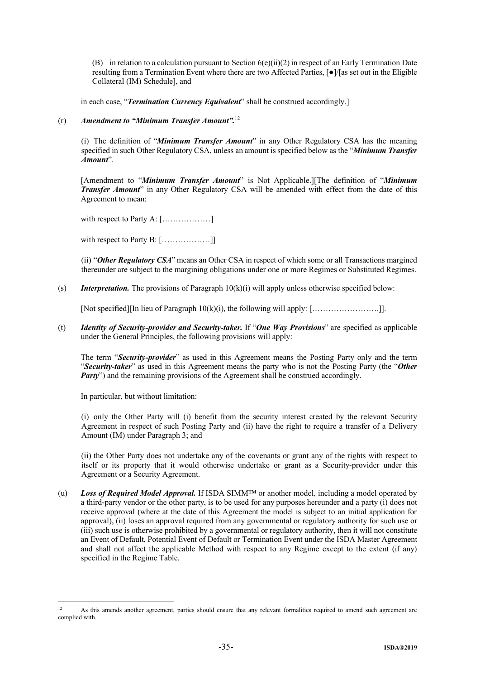(B) in relation to a calculation pursuant to Section  $6(e)(ii)(2)$  in respect of an Early Termination Date resulting from a Termination Event where there are two Affected Parties, [●]/[as set out in the Eligible Collateral (IM) Schedule], and

in each case, "*Termination Currency Equivalent*" shall be construed accordingly.]

## (r) *Amendment to "Minimum Transfer Amount".* 12

(i) The definition of "*Minimum Transfer Amount*" in any Other Regulatory CSA has the meaning specified in such Other Regulatory CSA, unless an amount is specified below as the "*Minimum Transfer Amount*".

[Amendment to "*Minimum Transfer Amount*" is Not Applicable.][The definition of "*Minimum Transfer Amount*" in any Other Regulatory CSA will be amended with effect from the date of this Agreement to mean:

with respect to Party A: [………………]

with respect to Party B: [..................]]

(ii) "*Other Regulatory CSA*" means an Other CSA in respect of which some or all Transactions margined thereunder are subject to the margining obligations under one or more Regimes or Substituted Regimes.

(s) *Interpretation.* The provisions of Paragraph 10(k)(i) will apply unless otherwise specified below:

[Not specified][In lieu of Paragraph 10(k)(i), the following will apply: […………………….]].

(t) *Identity of Security-provider and Security-taker.* If "*One Way Provisions*" are specified as applicable under the General Principles, the following provisions will apply:

The term "*Security-provider*" as used in this Agreement means the Posting Party only and the term "*Security-taker*" as used in this Agreement means the party who is not the Posting Party (the "*Other Party*") and the remaining provisions of the Agreement shall be construed accordingly.

In particular, but without limitation:

1

(i) only the Other Party will (i) benefit from the security interest created by the relevant Security Agreement in respect of such Posting Party and (ii) have the right to require a transfer of a Delivery Amount (IM) under Paragraph 3; and

(ii) the Other Party does not undertake any of the covenants or grant any of the rights with respect to itself or its property that it would otherwise undertake or grant as a Security-provider under this Agreement or a Security Agreement.

(u) *Loss of Required Model Approval.* If ISDA SIMM™ or another model, including a model operated by a third-party vendor or the other party, is to be used for any purposes hereunder and a party (i) does not receive approval (where at the date of this Agreement the model is subject to an initial application for approval), (ii) loses an approval required from any governmental or regulatory authority for such use or (iii) such use is otherwise prohibited by a governmental or regulatory authority, then it will not constitute an Event of Default, Potential Event of Default or Termination Event under the ISDA Master Agreement and shall not affect the applicable Method with respect to any Regime except to the extent (if any) specified in the Regime Table.

<sup>&</sup>lt;sup>12</sup> As this amends another agreement, parties should ensure that any relevant formalities required to amend such agreement are complied with.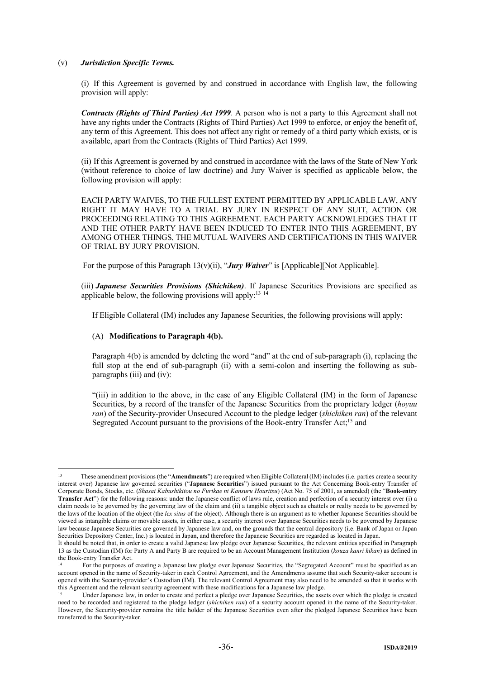#### (v) *Jurisdiction Specific Terms.*

(i) If this Agreement is governed by and construed in accordance with English law, the following provision will apply:

*Contracts (Rights of Third Parties) Act 1999.* A person who is not a party to this Agreement shall not have any rights under the Contracts (Rights of Third Parties) Act 1999 to enforce, or enjoy the benefit of, any term of this Agreement. This does not affect any right or remedy of a third party which exists, or is available, apart from the Contracts (Rights of Third Parties) Act 1999.

(ii) If this Agreement is governed by and construed in accordance with the laws of the State of New York (without reference to choice of law doctrine) and Jury Waiver is specified as applicable below, the following provision will apply:

EACH PARTY WAIVES, TO THE FULLEST EXTENT PERMITTED BY APPLICABLE LAW, ANY RIGHT IT MAY HAVE TO A TRIAL BY JURY IN RESPECT OF ANY SUIT, ACTION OR PROCEEDING RELATING TO THIS AGREEMENT. EACH PARTY ACKNOWLEDGES THAT IT AND THE OTHER PARTY HAVE BEEN INDUCED TO ENTER INTO THIS AGREEMENT, BY AMONG OTHER THINGS, THE MUTUAL WAIVERS AND CERTIFICATIONS IN THIS WAIVER OF TRIAL BY JURY PROVISION.

For the purpose of this Paragraph  $13(v)(ii)$ , "*Jury Waiver*" is [Applicable][Not Applicable].

(iii) *Japanese Securities Provisions (Shichiken)*. If Japanese Securities Provisions are specified as applicable below, the following provisions will apply:<sup>13 14</sup>

If Eligible Collateral (IM) includes any Japanese Securities, the following provisions will apply:

#### (A) **Modifications to Paragraph 4(b).**

1

Paragraph 4(b) is amended by deleting the word "and" at the end of sub-paragraph (i), replacing the full stop at the end of sub-paragraph (ii) with a semi-colon and inserting the following as subparagraphs (iii) and (iv):

"(iii) in addition to the above, in the case of any Eligible Collateral (IM) in the form of Japanese Securities, by a record of the transfer of the Japanese Securities from the proprietary ledger (*hoyuu ran*) of the Security-provider Unsecured Account to the pledge ledger (*shichiken ran*) of the relevant Segregated Account pursuant to the provisions of the Book-entry Transfer Act;<sup>15</sup> and

<sup>13</sup> These amendment provisions (the "**Amendments**") are required when Eligible Collateral (IM) includes (i.e. parties create a security interest over) Japanese law governed securities ("**Japanese Securities**") issued pursuant to the Act Concerning Book-entry Transfer of Corporate Bonds, Stocks, etc. (*Shasai Kabushikitou no Furikae ni Kansuru Houritsu*) (Act No. 75 of 2001, as amended) (the "**Book-entry Transfer Act**") for the following reasons: under the Japanese conflict of laws rule, creation and perfection of a security interest over (i) a claim needs to be governed by the governing law of the claim and (ii) a tangible object such as chattels or realty needs to be governed by the laws of the location of the object (the *lex situs* of the object). Although there is an argument as to whether Japanese Securities should be viewed as intangible claims or movable assets, in either case, a security interest over Japanese Securities needs to be governed by Japanese law because Japanese Securities are governed by Japanese law and, on the grounds that the central depository (i.e. Bank of Japan or Japan Securities Depository Center, Inc.) is located in Japan, and therefore the Japanese Securities are regarded as located in Japan.

It should be noted that, in order to create a valid Japanese law pledge over Japanese Securities, the relevant entities specified in Paragraph 13 as the Custodian (IM) for Party A and Party B are required to be an Account Management Institution (*kouza kanri kikan*) as defined in the Book-entry Transfer Act.

<sup>14</sup> For the purposes of creating a Japanese law pledge over Japanese Securities, the "Segregated Account" must be specified as an account opened in the name of Security-taker in each Control Agreement, and the Amendments assume that such Security-taker account is opened with the Security-provider's Custodian (IM). The relevant Control Agreement may also need to be amended so that it works with this Agreement and the relevant security agreement with these modifications for a Japanese law pledge.

<sup>&</sup>lt;sup>15</sup> Under Japanese law, in order to create and perfect a pledge over Japanese Securities, the assets over which the pledge is created need to be recorded and registered to the pledge ledger (*shichiken ran*) of a security account opened in the name of the Security-taker. However, the Security-provider remains the title holder of the Japanese Securities even after the pledged Japanese Securities have been transferred to the Security-taker.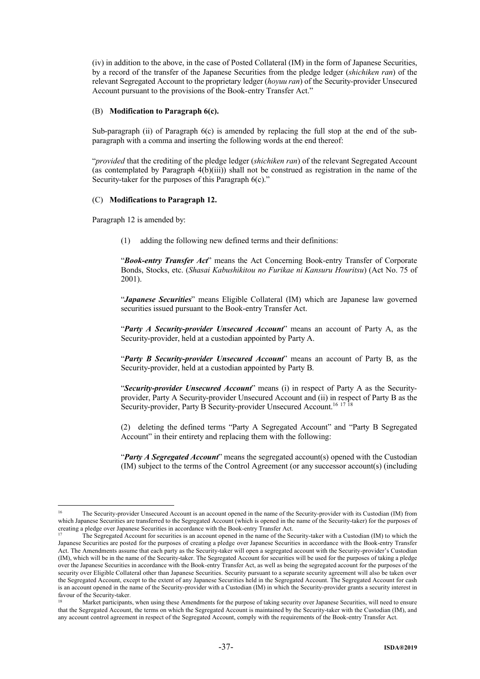(iv) in addition to the above, in the case of Posted Collateral (IM) in the form of Japanese Securities, by a record of the transfer of the Japanese Securities from the pledge ledger (*shichiken ran*) of the relevant Segregated Account to the proprietary ledger (*hoyuu ran*) of the Security-provider Unsecured Account pursuant to the provisions of the Book-entry Transfer Act."

#### (B) **Modification to Paragraph 6(c).**

Sub-paragraph (ii) of Paragraph 6(c) is amended by replacing the full stop at the end of the subparagraph with a comma and inserting the following words at the end thereof:

"*provided* that the crediting of the pledge ledger (*shichiken ran*) of the relevant Segregated Account (as contemplated by Paragraph 4(b)(iii)) shall not be construed as registration in the name of the Security-taker for the purposes of this Paragraph 6(c)."

#### (C) **Modifications to Paragraph 12.**

Paragraph 12 is amended by:

-

(1) adding the following new defined terms and their definitions:

"*Book-entry Transfer Act*" means the Act Concerning Book-entry Transfer of Corporate Bonds, Stocks, etc. (*Shasai Kabushikitou no Furikae ni Kansuru Houritsu*) (Act No. 75 of 2001).

"*Japanese Securities*" means Eligible Collateral (IM) which are Japanese law governed securities issued pursuant to the Book-entry Transfer Act.

"*Party A Security-provider Unsecured Account*" means an account of Party A, as the Security-provider, held at a custodian appointed by Party A.

"*Party B Security-provider Unsecured Account*" means an account of Party B, as the Security-provider, held at a custodian appointed by Party B.

"*Security-provider Unsecured Account*" means (i) in respect of Party A as the Securityprovider, Party A Security-provider Unsecured Account and (ii) in respect of Party B as the Security-provider, Party B Security-provider Unsecured Account.<sup>16 17 18</sup>

(2) deleting the defined terms "Party A Segregated Account" and "Party B Segregated Account" in their entirety and replacing them with the following:

"*Party A Segregated Account*" means the segregated account(s) opened with the Custodian (IM) subject to the terms of the Control Agreement (or any successor account(s) (including

<sup>&</sup>lt;sup>16</sup> The Security-provider Unsecured Account is an account opened in the name of the Security-provider with its Custodian (IM) from which Japanese Securities are transferred to the Segregated Account (which is opened in the name of the Security-taker) for the purposes of creating a pledge over Japanese Securities in accordance with the Book-entry Transfer Act.

<sup>17</sup> The Segregated Account for securities is an account opened in the name of the Security-taker with a Custodian (IM) to which the Japanese Securities are posted for the purposes of creating a pledge over Japanese Securities in accordance with the Book-entry Transfer Act. The Amendments assume that each party as the Security-taker will open a segregated account with the Security-provider's Custodian (IM), which will be in the name of the Security-taker. The Segregated Account for securities will be used for the purposes of taking a pledge over the Japanese Securities in accordance with the Book-entry Transfer Act, as well as being the segregated account for the purposes of the security over Eligible Collateral other than Japanese Securities. Security pursuant to a separate security agreement will also be taken over the Segregated Account, except to the extent of any Japanese Securities held in the Segregated Account. The Segregated Account for cash is an account opened in the name of the Security-provider with a Custodian (IM) in which the Security-provider grants a security interest in favour of the Security-taker.

<sup>18</sup> Market participants, when using these Amendments for the purpose of taking security over Japanese Securities, will need to ensure that the Segregated Account, the terms on which the Segregated Account is maintained by the Security-taker with the Custodian (IM), and any account control agreement in respect of the Segregated Account, comply with the requirements of the Book-entry Transfer Act.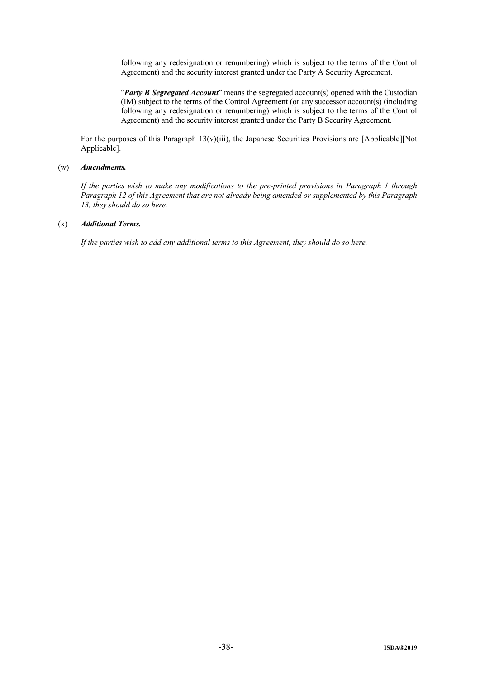following any redesignation or renumbering) which is subject to the terms of the Control Agreement) and the security interest granted under the Party A Security Agreement.

"*Party B Segregated Account*" means the segregated account(s) opened with the Custodian (IM) subject to the terms of the Control Agreement (or any successor account(s) (including following any redesignation or renumbering) which is subject to the terms of the Control Agreement) and the security interest granted under the Party B Security Agreement.

For the purposes of this Paragraph  $13(v)(iii)$ , the Japanese Securities Provisions are [Applicable][Not Applicable].

#### (w) *Amendments.*

*If the parties wish to make any modifications to the pre-printed provisions in Paragraph 1 through Paragraph 12 of this Agreement that are not already being amended or supplemented by this Paragraph 13, they should do so here.*

#### (x) *Additional Terms.*

*If the parties wish to add any additional terms to this Agreement, they should do so here.*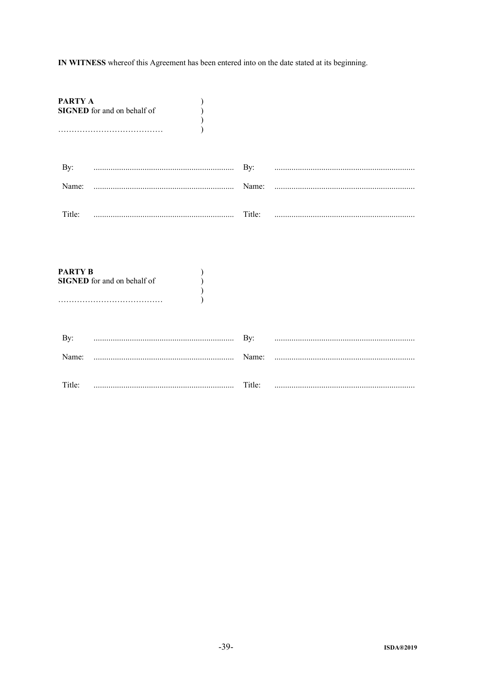IN WITNESS whereof this Agreement has been entered into on the date stated at its beginning.

| PARTY A | <b>SIGNED</b> for and on behalf of |  |
|---------|------------------------------------|--|
| By:     |                                    |  |
|         |                                    |  |
| Title:  |                                    |  |

| PARTY B | <b>SIGNED</b> for and on behalf of |        |  |
|---------|------------------------------------|--------|--|
| By:     |                                    |        |  |
| Name:   |                                    |        |  |
| Title:  |                                    | Title: |  |